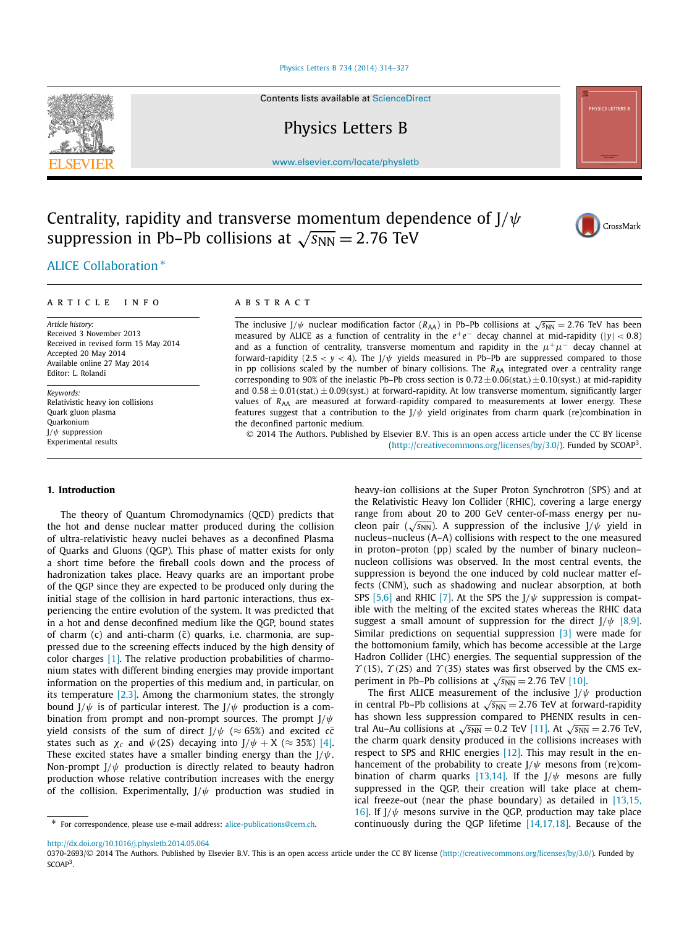#### [Physics Letters B 734 \(2014\) 314–327](http://dx.doi.org/10.1016/j.physletb.2014.05.064)

Contents lists available at [ScienceDirect](http://www.ScienceDirect.com/)

Physics Letters B

[www.elsevier.com/locate/physletb](http://www.elsevier.com/locate/physletb)

# Centrality, rapidity and transverse momentum dependence of J*/ψ* suppression in Pb–Pb collisions at  $\sqrt{s_{NN}} = 2.76$  TeV



## .ALICE [Collaboration](#page-8-0) ∗

#### A R T I C L E I N F O A B S T R A C T

*Article history:* Received 3 November 2013 Received in revised form 15 May 2014 Accepted 20 May 2014 Available online 27 May 2014 Editor: L. Rolandi

*Keywords:* Relativistic heavy ion collisions Quark gluon plasma Quarkonium J*/ψ* suppression Experimental results

The inclusive J/ $\psi$  nuclear modification factor (*R*<sub>AA</sub>) in Pb–Pb collisions at  $\sqrt{s_{NN}} = 2.76$  TeV has been measured by ALICE as a function of centrality in the  $e^+e^-$  decay channel at mid-rapidity ( $|y| < 0.8$ ) and as a function of centrality, transverse momentum and rapidity in the  $\mu^+\mu^-$  decay channel at forward-rapidity (2.5  $\lt y \lt 4$ ). The J/ $\psi$  yields measured in Pb–Pb are suppressed compared to those in pp collisions scaled by the number of binary collisions. The R<sub>AA</sub> integrated over a centrality range corresponding to 90% of the inelastic Pb–Pb cross section is  $0.72 \pm 0.06$  (stat.)  $\pm 0.10$  (syst.) at mid-rapidity and 0*.*58 ± 0*.*01*(*stat.*)* ± 0*.*09*(*syst.*)* at forward-rapidity. At low transverse momentum, significantly larger values of R<sub>AA</sub> are measured at forward-rapidity compared to measurements at lower energy. These features suggest that a contribution to the J*/ψ* yield originates from charm quark (re)combination in the deconfined partonic medium.

© 2014 The Authors. Published by Elsevier B.V. This is an open access article under the CC BY license [\(http://creativecommons.org/licenses/by/3.0/\)](http://creativecommons.org/licenses/by/3.0/). Funded by SCOAP3.

#### **1. Introduction**

The theory of Quantum Chromodynamics (QCD) predicts that the hot and dense nuclear matter produced during the collision of ultra-relativistic heavy nuclei behaves as a deconfined Plasma of Quarks and Gluons (QGP). This phase of matter exists for only a short time before the fireball cools down and the process of hadronization takes place. Heavy quarks are an important probe of the QGP since they are expected to be produced only during the initial stage of the collision in hard partonic interactions, thus experiencing the entire evolution of the system. It was predicted that in a hot and dense deconfined medium like the QGP, bound states of charm (c) and anti-charm  $(\bar{c})$  quarks, i.e. charmonia, are suppressed due to the screening effects induced by the high density of color charges [\[1\].](#page-7-0) The relative production probabilities of charmonium states with different binding energies may provide important information on the properties of this medium and, in particular, on its temperature  $[2,3]$ . Among the charmonium states, the strongly bound  $J/\psi$  is of particular interest. The  $J/\psi$  production is a combination from prompt and non-prompt sources. The prompt J*/ψ* yield consists of the sum of direct  $J/\psi$  ( $\approx$  65%) and excited cc states such as  $\chi_c$  and  $\psi$ (2S) decaying into  $J/\psi + X$  ( $\approx$  35%) [\[4\].](#page-7-0) These excited states have a smaller binding energy than the J*/ψ*. Non-prompt J*/ψ* production is directly related to beauty hadron production whose relative contribution increases with the energy of the collision. Experimentally, J*/ψ* production was studied in heavy-ion collisions at the Super Proton Synchrotron (SPS) and at the Relativistic Heavy Ion Collider (RHIC), covering a large energy range from about 20 to 200 GeV center-of-mass energy per nucleon pair ( $\sqrt{s_{NN}}$ ). A suppression of the inclusive  $J/\psi$  yield in nucleus–nucleus (A–A) collisions with respect to the one measured in proton–proton (pp) scaled by the number of binary nucleon– nucleon collisions was observed. In the most central events, the suppression is beyond the one induced by cold nuclear matter effects (CNM), such as shadowing and nuclear absorption, at both SPS  $[5,6]$  and RHIC  $[7]$ . At the SPS the J/ $\psi$  suppression is compatible with the melting of the excited states whereas the RHIC data suggest a small amount of suppression for the direct J*/ψ* [\[8,9\].](#page-7-0) Similar predictions on sequential suppression [\[3\]](#page-7-0) were made for the bottomonium family, which has become accessible at the Large Hadron Collider (LHC) energies. The sequential suppression of the *Υ (*1S*)*, *Υ (*2S*)* and *Υ (*3S*)* states was first observed by the CMS experiment in Pb–Pb collisions at  $\sqrt{s_{NN}}$  = 2.76 TeV [\[10\].](#page-8-0)

The first ALICE measurement of the inclusive J*/ψ* production in central Pb–Pb collisions at  $\sqrt{s_{NN}}$  = 2.76 TeV at forward-rapidity has shown less suppression compared to PHENIX results in central Au–Au collisions at  $\sqrt{s_{NN}} = 0.2$  TeV [\[11\].](#page-8-0) At  $\sqrt{s_{NN}} = 2.76$  TeV, the charm quark density produced in the collisions increases with respect to SPS and RHIC energies [\[12\].](#page-8-0) This may result in the enhancement of the probability to create J*/ψ* mesons from (re)com-bination of charm quarks [\[13,14\].](#page-8-0) If the J/ $\psi$  mesons are fully suppressed in the QGP, their creation will take place at chemical freeze-out (near the phase boundary) as detailed in [\[13,15,](#page-8-0) [16\].](#page-8-0) If  $J/\psi$  mesons survive in the QGP, production may take place continuously during the QGP lifetime [\[14,17,18\].](#page-8-0) Because of the

<sup>\*</sup> For correspondence, please use e-mail address: [alice-publications@cern.ch.](mailto:alice-publications@cern.ch)

<http://dx.doi.org/10.1016/j.physletb.2014.05.064>

<sup>0370-2693/© 2014</sup> The Authors. Published by Elsevier B.V. This is an open access article under the CC BY license [\(http://creativecommons.org/licenses/by/3.0/\)](http://creativecommons.org/licenses/by/3.0/). Funded by SCOAP<sup>3</sup>.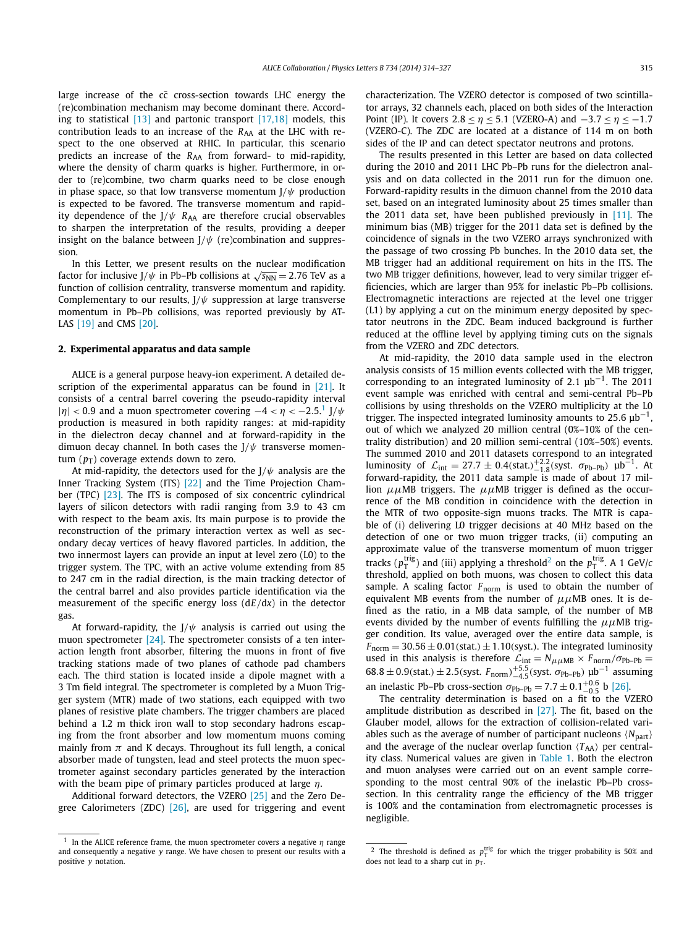<span id="page-1-0"></span>large increase of the cc cross-section towards LHC energy the (re)combination mechanism may become dominant there. According to statistical [\[13\]](#page-8-0) and partonic transport [\[17,18\]](#page-8-0) models, this contribution leads to an increase of the R<sub>AA</sub> at the LHC with respect to the one observed at RHIC. In particular, this scenario predicts an increase of the R<sub>AA</sub> from forward- to mid-rapidity, where the density of charm quarks is higher. Furthermore, in order to (re)combine, two charm quarks need to be close enough in phase space, so that low transverse momentum J*/ψ* production is expected to be favored. The transverse momentum and rapidity dependence of the  $J/\psi$  *R*<sub>AA</sub> are therefore crucial observables to sharpen the interpretation of the results, providing a deeper insight on the balance between J*/ψ* (re)combination and suppression.

In this Letter, we present results on the nuclear modification factor for inclusive  $J/\psi$  in Pb–Pb collisions at  $\sqrt{s_{NN}} = 2.76$  TeV as a function of collision centrality, transverse momentum and rapidity. Complementary to our results,  $J/\psi$  suppression at large transverse momentum in Pb–Pb collisions, was reported previously by AT-LAS [\[19\]](#page-8-0) and CMS [\[20\].](#page-8-0)

### **2. Experimental apparatus and data sample**

ALICE is a general purpose heavy-ion experiment. A detailed description of the experimental apparatus can be found in  $[21]$ . It consists of a central barrel covering the pseudo-rapidity interval  $|n| < 0.9$  and a muon spectrometer covering  $-4 < n < -2.5$ .<sup>1</sup> J/ $\psi$ production is measured in both rapidity ranges: at mid-rapidity in the dielectron decay channel and at forward-rapidity in the dimuon decay channel. In both cases the J*/ψ* transverse momentum  $(p_T)$  coverage extends down to zero.

At mid-rapidity, the detectors used for the J*/ψ* analysis are the Inner Tracking System (ITS) [\[22\]](#page-8-0) and the Time Projection Chamber (TPC) [\[23\].](#page-8-0) The ITS is composed of six concentric cylindrical layers of silicon detectors with radii ranging from 3.9 to 43 cm with respect to the beam axis. Its main purpose is to provide the reconstruction of the primary interaction vertex as well as secondary decay vertices of heavy flavored particles. In addition, the two innermost layers can provide an input at level zero (L0) to the trigger system. The TPC, with an active volume extending from 85 to 247 cm in the radial direction, is the main tracking detector of the central barrel and also provides particle identification via the measurement of the specific energy loss (d*E/*d*x*) in the detector gas.

At forward-rapidity, the  $J/\psi$  analysis is carried out using the muon spectrometer [\[24\].](#page-8-0) The spectrometer consists of a ten interaction length front absorber, filtering the muons in front of five tracking stations made of two planes of cathode pad chambers each. The third station is located inside a dipole magnet with a 3 Tm field integral. The spectrometer is completed by a Muon Trigger system (MTR) made of two stations, each equipped with two planes of resistive plate chambers. The trigger chambers are placed behind a 1.2 m thick iron wall to stop secondary hadrons escaping from the front absorber and low momentum muons coming mainly from  $\pi$  and K decays. Throughout its full length, a conical absorber made of tungsten, lead and steel protects the muon spectrometer against secondary particles generated by the interaction with the beam pipe of primary particles produced at large *η*.

Additional forward detectors, the VZERO [\[25\]](#page-8-0) and the Zero De-gree Calorimeters (ZDC) [\[26\],](#page-8-0) are used for triggering and event characterization. The VZERO detector is composed of two scintillator arrays, 32 channels each, placed on both sides of the Interaction Point (IP). It covers <sup>2</sup>*.*<sup>8</sup> ≤ *η* ≤ <sup>5</sup>*.*1 (VZERO-A) and −3*.*<sup>7</sup> ≤ *η* ≤ −1*.*<sup>7</sup> (VZERO-C). The ZDC are located at a distance of 114 m on both sides of the IP and can detect spectator neutrons and protons.

The results presented in this Letter are based on data collected during the 2010 and 2011 LHC Pb–Pb runs for the dielectron analysis and on data collected in the 2011 run for the dimuon one. Forward-rapidity results in the dimuon channel from the 2010 data set, based on an integrated luminosity about 25 times smaller than the 2011 data set, have been published previously in  $[11]$ . The minimum bias (MB) trigger for the 2011 data set is defined by the coincidence of signals in the two VZERO arrays synchronized with the passage of two crossing Pb bunches. In the 2010 data set, the MB trigger had an additional requirement on hits in the ITS. The two MB trigger definitions, however, lead to very similar trigger efficiencies, which are larger than 95% for inelastic Pb–Pb collisions. Electromagnetic interactions are rejected at the level one trigger (L1) by applying a cut on the minimum energy deposited by spectator neutrons in the ZDC. Beam induced background is further reduced at the offline level by applying timing cuts on the signals from the VZERO and ZDC detectors.

At mid-rapidity, the 2010 data sample used in the electron analysis consists of 15 million events collected with the MB trigger, corresponding to an integrated luminosity of 2.1  $\mu$ b<sup>-1</sup>. The 2011 event sample was enriched with central and semi-central Pb–Pb collisions by using thresholds on the VZERO multiplicity at the L0 trigger. The inspected integrated luminosity amounts to 25.6  $\mu$ b<sup>-1</sup>, out of which we analyzed 20 million central (0%–10% of the centrality distribution) and 20 million semi-central (10%–50%) events. The summed 2010 and 2011 datasets correspond to an integrated luminosity of  $\mathcal{L}_{int} = 27.7 \pm 0.4$ (stat.) $^{+2.2}_{-1.8}$ (syst.  $\sigma_{\text{Pb-Pb}}$ )  $\mu$ b<sup>-1</sup>. At forward-rapidity, the 2011 data sample is made of about 17 million *μμ*MB triggers. The *μμ*MB trigger is defined as the occurrence of the MB condition in coincidence with the detection in the MTR of two opposite-sign muons tracks. The MTR is capable of (i) delivering L0 trigger decisions at 40 MHz based on the detection of one or two muon trigger tracks, (ii) computing an approximate value of the transverse momentum of muon trigger tracks ( $p_{\text{T}}^{\text{trig}}$ ) and (iii) applying a threshold<sup>2</sup> on the  $p_{\text{T}}^{\text{trig}}$ . A 1 GeV/*c*<br>threshold, applied on both muons, was chosen to collect this data sample. A scaling factor  $F_{\text{norm}}$  is used to obtain the number of equivalent MB events from the number of *μμ*MB ones. It is defined as the ratio, in a MB data sample, of the number of MB events divided by the number of events fulfilling the *μμ*MB trigger condition. Its value, averaged over the entire data sample, is  $F_{\text{norm}} = 30.56 \pm 0.01$  (stat.)  $\pm 1.10$  (syst.). The integrated luminosity used in this analysis is therefore  $\mathcal{L}_{int} = N_{\mu\mu MB} \times F_{norm}/\sigma_{Pb-Pb}$  =  $68.8 ± 0.9$ (stat.) ± 2.5(syst.  $F_{\text{norm}}$ ) $^{+5.5}_{-4.5}$ (syst.  $\sigma_{\text{Pb-Pb}}$ )  $\mu$ b<sup>−1</sup> assuming an inelastic Pb–Pb cross-section  $\sigma_{\text{Pb-Pb}} = 7.7 \pm 0.1^{+0.6}_{-0.5}$  b [\[26\].](#page-8-0)

The centrality determination is based on a fit to the VZERO amplitude distribution as described in [\[27\].](#page-8-0) The fit, based on the Glauber model, allows for the extraction of collision-related variables such as the average of number of participant nucleons *N*part and the average of the nuclear overlap function  $\langle T_{AA} \rangle$  per centrality class. Numerical values are given in [Table 1.](#page-2-0) Both the electron and muon analyses were carried out on an event sample corresponding to the most central 90% of the inelastic Pb–Pb crosssection. In this centrality range the efficiency of the MB trigger is 100% and the contamination from electromagnetic processes is negligible.

<sup>&</sup>lt;sup>1</sup> In the ALICE reference frame, the muon spectrometer covers a negative  $\eta$  range and consequently a negative *y* range. We have chosen to present our results with a positive *y* notation.

<sup>&</sup>lt;sup>2</sup> The threshold is defined as  $p_T^{\text{trig}}$  for which the trigger probability is 50% and does not lead to a sharp cut in  $p_T$ .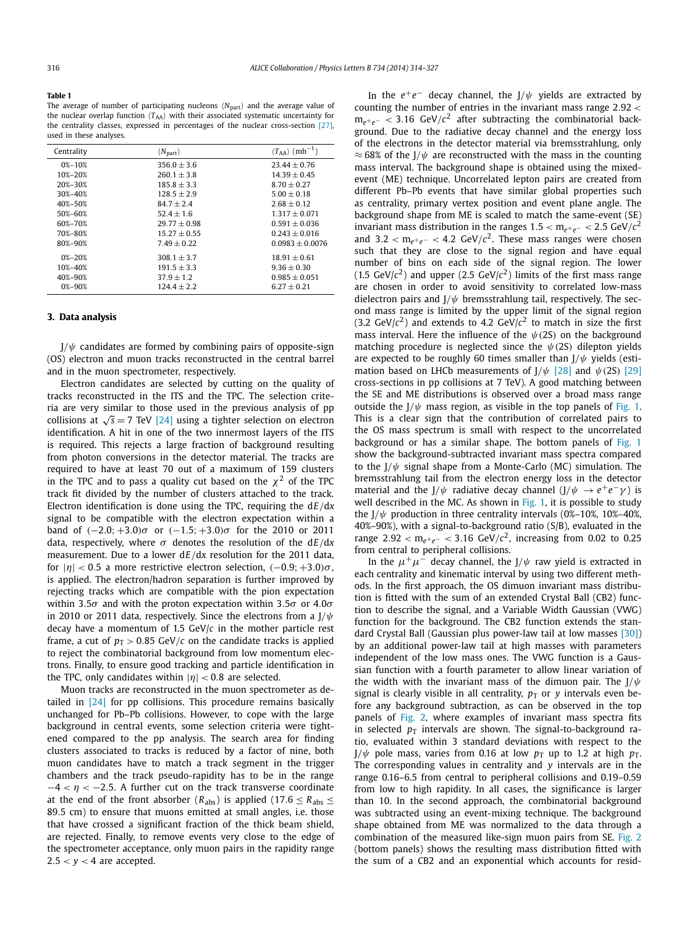#### <span id="page-2-0"></span>**Table 1**

The average of number of participating nucleons  $\langle N_{\text{part}} \rangle$  and the average value of the nuclear overlap function  $\langle T_{AA} \rangle$  with their associated systematic uncertainty for the centrality classes, expressed in percentages of the nuclear cross-section [\[27\],](#page-8-0) used in these analyses.

| Centrality   | $\langle N_{\rm part} \rangle$ | $\langle T_{AA} \rangle$ (mb <sup>-1</sup> ) |
|--------------|--------------------------------|----------------------------------------------|
| $0\% - 10\%$ | $356.0 + 3.6$                  | $23.44 + 0.76$                               |
| 10%-20%      | $260.1 + 3.8$                  | $14.39 \pm 0.45$                             |
| 20%-30%      | $185.8 + 3.3$                  | $8.70 + 0.27$                                |
| 30%-40%      | $128.5 + 2.9$                  | $5.00 + 0.18$                                |
| 40%-50%      | $84.7 + 2.4$                   | $2.68 + 0.12$                                |
| 50%-60%      | $52.4 + 1.6$                   | $1.317 + 0.071$                              |
| 60%-70%      | $29.77 + 0.98$                 | $0.591 + 0.036$                              |
| 70%-80%      | $15.27 + 0.55$                 | $0.243 + 0.016$                              |
| 80%-90%      | $7.49 + 0.22$                  | $0.0983 + 0.0076$                            |
| $0\% - 20\%$ | $308.1 + 3.7$                  | $18.91 + 0.61$                               |
| 10%-40%      | $191.5 + 3.3$                  | $9.36 + 0.30$                                |
| 40%-90%      | $37.9 + 1.2$                   | $0.985 + 0.051$                              |
| $0\% - 90\%$ | $124.4 + 2.2$                  | $6.27 + 0.21$                                |
|              |                                |                                              |

#### **3. Data analysis**

J*/ψ* candidates are formed by combining pairs of opposite-sign (OS) electron and muon tracks reconstructed in the central barrel and in the muon spectrometer, respectively.

Electron candidates are selected by cutting on the quality of tracks reconstructed in the ITS and the TPC. The selection criteria are very similar to those used in the previous analysis of pp collisions at  $\sqrt{s}$  = 7 TeV [\[24\]](#page-8-0) using a tighter selection on electron identification. A hit in one of the two innermost layers of the ITS is required. This rejects a large fraction of background resulting from photon conversions in the detector material. The tracks are required to have at least 70 out of a maximum of 159 clusters in the TPC and to pass a quality cut based on the  $\chi^2$  of the TPC track fit divided by the number of clusters attached to the track. Electron identification is done using the TPC, requiring the d*E/*d*x* signal to be compatible with the electron expectation within a band of *(*−2*.*0;+3*.*0*)σ* or *(*−1*.*5;+3*.*0*)σ* for the <sup>2010</sup> or <sup>2011</sup> data, respectively, where *σ* denotes the resolution of the d*E/*d*x* measurement. Due to a lower d*E/*d*x* resolution for the 2011 data, for  $|\eta| < 0.5$  a more restrictive electron selection,  $(-0.9; +3.0)\sigma$ , is applied. The electron/hadron separation is further improved by rejecting tracks which are compatible with the pion expectation within 3*.*5*σ* and with the proton expectation within 3*.*5*σ* or 4*.*0*σ* in 2010 or 2011 data, respectively. Since the electrons from a J*/ψ* decay have a momentum of 1.5 GeV/*c* in the mother particle rest frame, a cut of  $p<sub>T</sub> > 0.85$  GeV/*c* on the candidate tracks is applied to reject the combinatorial background from low momentum electrons. Finally, to ensure good tracking and particle identification in the TPC, only candidates within  $|\eta|$  < 0.8 are selected.

Muon tracks are reconstructed in the muon spectrometer as detailed in [\[24\]](#page-8-0) for pp collisions. This procedure remains basically unchanged for Pb–Pb collisions. However, to cope with the large background in central events, some selection criteria were tightened compared to the pp analysis. The search area for finding clusters associated to tracks is reduced by a factor of nine, both muon candidates have to match a track segment in the trigger chambers and the track pseudo-rapidity has to be in the range −<sup>4</sup> *< η <* −2*.*5. <sup>A</sup> further cut on the track transverse coordinate at the end of the front absorber ( $R_{\text{abs}}$ ) is applied (17.6  $\leq R_{\text{abs}} \leq$ 89*.*5 cm) to ensure that muons emitted at small angles, i.e. those that have crossed a significant fraction of the thick beam shield, are rejected. Finally, to remove events very close to the edge of the spectrometer acceptance, only muon pairs in the rapidity range  $2.5 < v < 4$  are accepted.

In the  $e^+e^-$  decay channel, the J/ $\psi$  yields are extracted by counting the number of entries in the invariant mass range 2*.*92 *<* m*e*+*e*<sup>−</sup> *<* 3*.*16 GeV*/c*<sup>2</sup> after subtracting the combinatorial background. Due to the radiative decay channel and the energy loss of the electrons in the detector material via bremsstrahlung, only  $\approx$  68% of the J/ $\psi$  are reconstructed with the mass in the counting mass interval. The background shape is obtained using the mixedevent (ME) technique. Uncorrelated lepton pairs are created from different Pb–Pb events that have similar global properties such as centrality, primary vertex position and event plane angle. The background shape from ME is scaled to match the same-event (SE) invariant mass distribution in the ranges  $1.5 < m_{e^+e^-} < 2.5$  GeV/ $c^2$ and  $3.2 < m_{e^+e^-} < 4.2$  GeV/ $c^2$ . These mass ranges were chosen such that they are close to the signal region and have equal number of bins on each side of the signal region. The lower  $(1.5 \text{ GeV}/c^2)$  and upper  $(2.5 \text{ GeV}/c^2)$  limits of the first mass range are chosen in order to avoid sensitivity to correlated low-mass dielectron pairs and J*/ψ* bremsstrahlung tail, respectively. The second mass range is limited by the upper limit of the signal region (3.2 GeV/ $c^2$ ) and extends to 4.2 GeV/ $c^2$  to match in size the first mass interval. Here the influence of the *ψ(*2S*)* on the background matching procedure is neglected since the  $\psi$ (2S) dilepton yields are expected to be roughly 60 times smaller than J*/ψ* yields (estimation based on LHCb measurements of J*/ψ* [\[28\]](#page-8-0) and *ψ(*2S*)* [\[29\]](#page-8-0) cross-sections in pp collisions at 7 TeV). A good matching between the SE and ME distributions is observed over a broad mass range outside the  $J/\psi$  mass region, as visible in the top panels of [Fig. 1.](#page-3-0) This is a clear sign that the contribution of correlated pairs to the OS mass spectrum is small with respect to the uncorrelated background or has a similar shape. The bottom panels of [Fig. 1](#page-3-0) show the background-subtracted invariant mass spectra compared to the J*/ψ* signal shape from a Monte-Carlo (MC) simulation. The bremsstrahlung tail from the electron energy loss in the detector material and the  $J/\psi$  radiative decay channel  $(J/\psi \rightarrow e^+e^-\gamma)$  is well described in the MC. As shown in [Fig. 1,](#page-3-0) it is possible to study the  $J/\psi$  production in three centrality intervals (0%–10%, 10%–40%, 40%–90%), with a signal-to-background ratio (S/B), evaluated in the range  $2.92 < m_{e^+e^-}$  < 3.16 GeV/ $c^2$ , increasing from 0.02 to 0.25 from central to peripheral collisions.

In the  $\mu^+\mu^-$  decay channel, the J/ $\psi$  raw yield is extracted in each centrality and kinematic interval by using two different methods. In the first approach, the OS dimuon invariant mass distribution is fitted with the sum of an extended Crystal Ball (CB2) function to describe the signal, and a Variable Width Gaussian (VWG) function for the background. The CB2 function extends the standard Crystal Ball (Gaussian plus power-law tail at low masses [\[30\]\)](#page-8-0) by an additional power-law tail at high masses with parameters independent of the low mass ones. The VWG function is a Gaussian function with a fourth parameter to allow linear variation of the width with the invariant mass of the dimuon pair. The J*/ψ* signal is clearly visible in all centrality,  $p<sub>T</sub>$  or *y* intervals even before any background subtraction, as can be observed in the top panels of [Fig. 2,](#page-3-0) where examples of invariant mass spectra fits in selected  $p_T$  intervals are shown. The signal-to-background ratio, evaluated within 3 standard deviations with respect to the  $J/\psi$  pole mass, varies from 0.16 at low  $p_T$  up to 1.2 at high  $p_T$ . The corresponding values in centrality and *y* intervals are in the range 0.16–6.5 from central to peripheral collisions and 0.19–0.59 from low to high rapidity. In all cases, the significance is larger than 10. In the second approach, the combinatorial background was subtracted using an event-mixing technique. The background shape obtained from ME was normalized to the data through a combination of the measured like-sign muon pairs from SE. [Fig. 2](#page-3-0) (bottom panels) shows the resulting mass distribution fitted with the sum of a CB2 and an exponential which accounts for resid-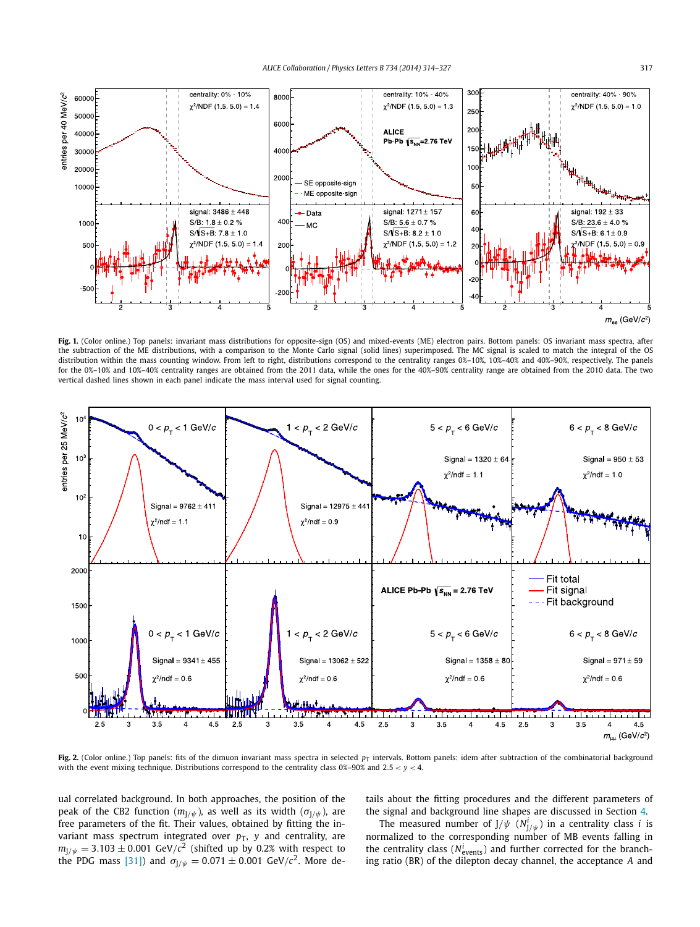<span id="page-3-0"></span>

Fig. 1. (Color online.) Top panels: invariant mass distributions for opposite-sign (OS) and mixed-events (ME) electron pairs. Bottom panels: OS invariant mass spectra, after the subtraction of the ME distributions, with a comparison to the Monte Carlo signal (solid lines) superimposed. The MC signal is scaled to match the integral of the OS distribution within the mass counting window. From left to right, distributions correspond to the centrality ranges 0%-10%, 10%-40% and 40%-90%, respectively. The panels for the 0%–10% and 10%–40% centrality ranges are obtained from the 2011 data, while the ones for the 40%–90% centrality range are obtained from the 2010 data. The two vertical dashed lines shown in each panel indicate the mass interval used for signal counting.



Fig. 2. (Color online.) Top panels: fits of the dimuon invariant mass spectra in selected  $p<sub>T</sub>$  intervals. Bottom panels: idem after subtraction of the combinatorial background with the event mixing technique. Distributions correspond to the centrality class 0%–90% and 2*.*5 *< y <* 4.

ual correlated background. In both approaches, the position of the peak of the CB2 function ( $m_{1/\psi}$ ), as well as its width ( $\sigma_{1/\psi}$ ), are free parameters of the fit. Their values, obtained by fitting the invariant mass spectrum integrated over  $p_T$ ,  $y$  and centrality, are  $m_{J/\psi} = 3.103 \pm 0.001$  GeV/ $c^2$  (shifted up by 0.2% with respect to the PDG mass [\[31\]\)](#page-8-0) and  $σ_{1/ψ} = 0.071 \pm 0.001$  GeV/ $c^2$ . More details about the fitting procedures and the different parameters of the signal and background line shapes are discussed in Section [4.](#page-4-0)

The measured number of  $J/\psi$   $(N^i_{J/\psi})$  in a centrality class *i* is normalized to the corresponding number of MB events falling in the centrality class ( $N_{\text{events}}^i$ ) and further corrected for the branching ratio (BR) of the dilepton decay channel, the acceptance *A* and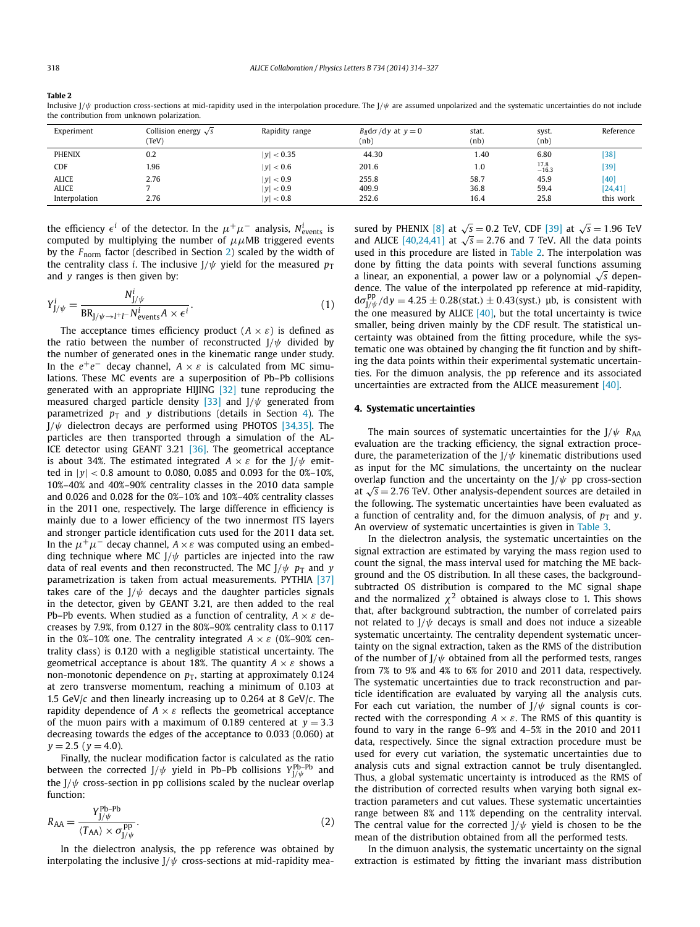<span id="page-4-0"></span>

**Table 2**

| Experiment    | Collision energy $\sqrt{s}$<br>(TeV) | Rapidity range | $B_{ll}d\sigma/dy$ at $y=0$<br>(nb) | stat.<br>(nb) | syst.<br>(nb) | Reference |
|---------------|--------------------------------------|----------------|-------------------------------------|---------------|---------------|-----------|
| <b>PHENIX</b> | 0.2                                  | y  < 0.35      | 44.30                               | 1.40          | 6.80          | [38       |
| <b>CDF</b>    | 1.96                                 | $ y $ < 0.6    | 201.6                               | 1.0           | $17.8 - 16.3$ | $[39]$    |
| <b>ALICE</b>  | 2.76                                 | $ y $ < 0.9    | 255.8                               | 58.7          | 45.9          | [40]      |
| <b>ALICE</b>  |                                      | $ y $ < 0.9    | 409.9                               | 36.8          | 59.4          | [24, 41]  |
| Interpolation | 2.76                                 | y  < 0.8       | 252.6                               | 16.4          | 25.8          | this work |

Inclusive J*/ψ* production cross-sections at mid-rapidity used in the interpolation procedure. The J*/ψ* are assumed unpolarized and the systematic uncertainties do not include the contribution from unknown polarization.

the efficiency  $\epsilon^i$  of the detector. In the  $\mu^+\mu^-$  analysis,  $N_{\text{events}}^i$  is computed by multiplying the number of  $\mu\mu$ MB triggered events by the *F*<sub>norm</sub> factor (described in Section [2\)](#page-1-0) scaled by the width of the centrality class *i*. The inclusive  $J/\psi$  yield for the measured  $p_T$ and *y* ranges is then given by:

$$
Y_{J/\psi}^{i} = \frac{N_{J/\psi}^{i}}{BR_{J/\psi \to l^{+}l^{-}} N_{\text{events}}^{i} A \times \epsilon^{i}}.
$$
\n(1)

The acceptance times efficiency product  $(A \times \varepsilon)$  is defined as the ratio between the number of reconstructed J*/ψ* divided by the number of generated ones in the kinematic range under study. In the  $e^+e^-$  decay channel,  $A \times \varepsilon$  is calculated from MC simulations. These MC events are a superposition of Pb–Pb collisions generated with an appropriate HIJING [\[32\]](#page-8-0) tune reproducing the measured charged particle density [\[33\]](#page-8-0) and J*/ψ* generated from parametrized  $p_T$  and *y* distributions (details in Section 4). The J*/ψ* dielectron decays are performed using PHOTOS [\[34,35\].](#page-8-0) The particles are then transported through a simulation of the AL-ICE detector using GEANT 3.21 [\[36\].](#page-8-0) The geometrical acceptance is about 34%. The estimated integrated  $A \times \varepsilon$  for the J/ $\psi$  emitted in |*y*| *<* 0*.*8 amount to 0.080, 0.085 and 0.093 for the 0%–10%, 10%–40% and 40%–90% centrality classes in the 2010 data sample and 0.026 and 0.028 for the 0%–10% and 10%–40% centrality classes in the 2011 one, respectively. The large difference in efficiency is mainly due to a lower efficiency of the two innermost ITS layers and stronger particle identification cuts used for the 2011 data set. In the  $\mu^+\mu^-$  decay channel,  $A \times \varepsilon$  was computed using an embedding technique where MC  $J/\psi$  particles are injected into the raw data of real events and then reconstructed. The MC  $J/\psi$   $p_T$  and *y* parametrization is taken from actual measurements. PYTHIA [\[37\]](#page-8-0) takes care of the  $J/\psi$  decays and the daughter particles signals in the detector, given by GEANT 3.21, are then added to the real Pb–Pb events. When studied as <sup>a</sup> function of centrality, *<sup>A</sup>* × *ε* decreases by 7.9%, from 0.127 in the 80%–90% centrality class to 0.117 in the 0%–10% one. The centrality integrated  $A \times \varepsilon$  (0%–90% centrality class) is 0.120 with a negligible statistical uncertainty. The geometrical acceptance is about 18%. The quantity *<sup>A</sup>* × *ε* shows <sup>a</sup> non-monotonic dependence on  $p<sub>T</sub>$ , starting at approximately 0.124 at zero transverse momentum, reaching a minimum of 0.103 at 1.5 GeV/*c* and then linearly increasing up to 0.264 at 8 GeV/*c*. The rapidity dependence of  $A \times \varepsilon$  reflects the geometrical acceptance of the muon pairs with a maximum of 0.189 centered at  $y = 3.3$ decreasing towards the edges of the acceptance to 0.033 (0.060) at  $y = 2.5$  ( $y = 4.0$ ).

Finally, the nuclear modification factor is calculated as the ratio between the corrected J*/ψ* yield in Pb–Pb collisions *Y* Pb–Pb <sup>J</sup>*/ψ* and the  $J/\psi$  cross-section in pp collisions scaled by the nuclear overlap function:

$$
R_{AA} = \frac{Y_{J/\psi}^{\text{Pb-Pb}}}{\langle T_{AA} \rangle \times \sigma_{J/\psi}^{\text{PP}}}.
$$
\n(2)

In the dielectron analysis, the pp reference was obtained by interpolating the inclusive  $J/\psi$  cross-sections at mid-rapidity measured by PHENIX [\[8\]](#page-7-0) at  $\sqrt{s} = 0.2$  TeV, CDF [\[39\]](#page-8-0) at  $\sqrt{s} = 1.96$  TeV and ALICE  $[40,24,41]$  at  $\sqrt{s} = 2.76$  and 7 TeV. All the data points used in this procedure are listed in Table 2. The interpolation was done by fitting the data points with several functions assuming <sup>a</sup> linear, an exponential, <sup>a</sup> power law or <sup>a</sup> polynomial √*<sup>s</sup>* dependence. The value of the interpolated pp reference at mid-rapidity,  $d\sigma_{J/\psi}^{pp}/dy = 4.25 \pm 0.28$ (stat.)  $\pm 0.43$ (syst.)  $\mu$ b, is consistent with the one measured by ALICE  $[40]$ , but the total uncertainty is twice smaller, being driven mainly by the CDF result. The statistical uncertainty was obtained from the fitting procedure, while the systematic one was obtained by changing the fit function and by shifting the data points within their experimental systematic uncertainties. For the dimuon analysis, the pp reference and its associated uncertainties are extracted from the ALICE measurement [\[40\].](#page-8-0)

#### **4. Systematic uncertainties**

The main sources of systematic uncertainties for the  $J/\psi$   $R_{AA}$ evaluation are the tracking efficiency, the signal extraction procedure, the parameterization of the J*/ψ* kinematic distributions used as input for the MC simulations, the uncertainty on the nuclear overlap function and the uncertainty on the  $J/\psi$  pp cross-section at  $\sqrt{s}$  = 2.76 TeV. Other analysis-dependent sources are detailed in the following. The systematic uncertainties have been evaluated as a function of centrality and, for the dimuon analysis, of  $p<sub>T</sub>$  and *y*. An overview of systematic uncertainties is given in [Table 3.](#page-5-0)

In the dielectron analysis, the systematic uncertainties on the signal extraction are estimated by varying the mass region used to count the signal, the mass interval used for matching the ME background and the OS distribution. In all these cases, the backgroundsubtracted OS distribution is compared to the MC signal shape and the normalized  $\chi^2$  obtained is always close to 1. This shows that, after background subtraction, the number of correlated pairs not related to  $J/\psi$  decays is small and does not induce a sizeable systematic uncertainty. The centrality dependent systematic uncertainty on the signal extraction, taken as the RMS of the distribution of the number of  $J/\psi$  obtained from all the performed tests, ranges from 7% to 9% and 4% to 6% for 2010 and 2011 data, respectively. The systematic uncertainties due to track reconstruction and particle identification are evaluated by varying all the analysis cuts. For each cut variation, the number of J*/ψ* signal counts is corrected with the corresponding  $A \times \varepsilon$ . The RMS of this quantity is found to vary in the range 6–9% and 4–5% in the 2010 and 2011 data, respectively. Since the signal extraction procedure must be used for every cut variation, the systematic uncertainties due to analysis cuts and signal extraction cannot be truly disentangled. Thus, a global systematic uncertainty is introduced as the RMS of the distribution of corrected results when varying both signal extraction parameters and cut values. These systematic uncertainties range between 8% and 11% depending on the centrality interval. The central value for the corrected  $J/\psi$  yield is chosen to be the mean of the distribution obtained from all the performed tests.

In the dimuon analysis, the systematic uncertainty on the signal extraction is estimated by fitting the invariant mass distribution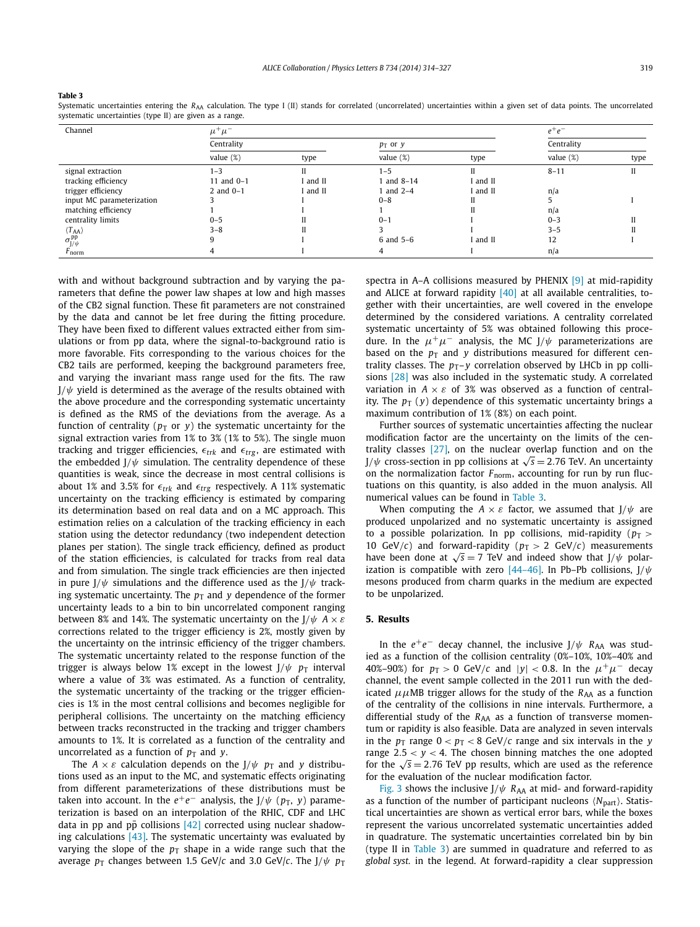#### <span id="page-5-0"></span>**Table 3**

Systematic uncertainties entering the R<sub>AA</sub> calculation. The type I (II) stands for correlated (uncorrelated) uncertainties within a given set of data points. The uncorrelated systematic uncertainties (type II) are given as a range.

| Channel                             | $\mu^+\mu^-$  |          |               |          | $e^+e^-$     |              |
|-------------------------------------|---------------|----------|---------------|----------|--------------|--------------|
|                                     | Centrality    |          | $p_T$ or $y$  |          | Centrality   |              |
|                                     | value $(\%)$  | type     | value $(\%)$  | type     | value $(\%)$ | type         |
| signal extraction                   | $1 - 3$       |          | $1 - 5$       | II       | $8 - 11$     | $\mathbf{I}$ |
| tracking efficiency                 | 11 and $0-1$  | I and II | l and $8-14$  | I and II |              |              |
| trigger efficiency                  | $2$ and $0-1$ | I and II | l and $2-4$   | I and II | n/a          |              |
| input MC parameterization           |               |          | $0 - 8$       |          |              |              |
| matching efficiency                 |               |          |               |          | n/a          |              |
| centrality limits                   | $0 - 5$       |          | $0 - 1$       |          | $0 - 3$      |              |
| $\langle T_{AA} \rangle$            | $3 - 8$       |          |               |          | $3 - 5$      |              |
| $\sigma^{\rm pp}_{\mathrm{J}/\psi}$ |               |          | $6$ and $5-6$ | I and II | 12           |              |
| $F_{\rm norm}$                      |               |          | 4             |          | n/a          |              |

with and without background subtraction and by varying the parameters that define the power law shapes at low and high masses of the CB2 signal function. These fit parameters are not constrained by the data and cannot be let free during the fitting procedure. They have been fixed to different values extracted either from simulations or from pp data, where the signal-to-background ratio is more favorable. Fits corresponding to the various choices for the CB2 tails are performed, keeping the background parameters free, and varying the invariant mass range used for the fits. The raw J*/ψ* yield is determined as the average of the results obtained with the above procedure and the corresponding systematic uncertainty is defined as the RMS of the deviations from the average. As a function of centrality ( $p_T$  or  $y$ ) the systematic uncertainty for the signal extraction varies from 1% to 3% (1% to 5%). The single muon tracking and trigger efficiencies,  $\epsilon_{trk}$  and  $\epsilon_{trg}$ , are estimated with the embedded  $J/\psi$  simulation. The centrality dependence of these quantities is weak, since the decrease in most central collisions is about 1% and 3.5% for  $\epsilon_{trk}$  and  $\epsilon_{trg}$  respectively. A 11% systematic uncertainty on the tracking efficiency is estimated by comparing its determination based on real data and on a MC approach. This estimation relies on a calculation of the tracking efficiency in each station using the detector redundancy (two independent detection planes per station). The single track efficiency, defined as product of the station efficiencies, is calculated for tracks from real data and from simulation. The single track efficiencies are then injected in pure J*/ψ* simulations and the difference used as the J*/ψ* tracking systematic uncertainty. The  $p<sub>T</sub>$  and *y* dependence of the former uncertainty leads to a bin to bin uncorrelated component ranging between 8% and 14%. The systematic uncertainty on the <sup>J</sup>*/ψ <sup>A</sup>* × *ε* corrections related to the trigger efficiency is 2%, mostly given by the uncertainty on the intrinsic efficiency of the trigger chambers. The systematic uncertainty related to the response function of the trigger is always below 1% except in the lowest  $J/\psi$   $p_T$  interval where a value of 3% was estimated. As a function of centrality, the systematic uncertainty of the tracking or the trigger efficiencies is 1% in the most central collisions and becomes negligible for peripheral collisions. The uncertainty on the matching efficiency between tracks reconstructed in the tracking and trigger chambers amounts to 1%. It is correlated as a function of the centrality and uncorrelated as a function of  $p<sub>T</sub>$  and *y*.

The  $A \times \varepsilon$  calculation depends on the  $J/\psi$   $p_T$  and *y* distributions used as an input to the MC, and systematic effects originating from different parameterizations of these distributions must be taken into account. In the  $e^+e^-$  analysis, the J/ $\psi$  ( $p_T$ ,  $y$ ) parameterization is based on an interpolation of the RHIC, CDF and LHC data in pp and  $p\bar{p}$  collisions  $[42]$  corrected using nuclear shadowing calculations [\[43\].](#page-8-0) The systematic uncertainty was evaluated by varying the slope of the  $p<sub>T</sub>$  shape in a wide range such that the average  $p_T$  changes between 1.5 GeV/*c* and 3.0 GeV/*c*. The J/ $\psi$   $p_T$  spectra in A–A collisions measured by PHENIX [\[9\]](#page-8-0) at mid-rapidity and ALICE at forward rapidity  $[40]$  at all available centralities, together with their uncertainties, are well covered in the envelope determined by the considered variations. A centrality correlated systematic uncertainty of 5% was obtained following this procedure. In the  $\mu^+\mu^-$  analysis, the MC J/ $\psi$  parameterizations are based on the  $p_T$  and *y* distributions measured for different centrality classes. The  $p_T - y$  correlation observed by LHCb in pp collisions [\[28\]](#page-8-0) was also included in the systematic study. A correlated variation in  $A \times \varepsilon$  of 3% was observed as a function of centrality. The  $p_T(y)$  dependence of this systematic uncertainty brings a maximum contribution of 1% (8%) on each point.

Further sources of systematic uncertainties affecting the nuclear modification factor are the uncertainty on the limits of the centrality classes [\[27\],](#page-8-0) on the nuclear overlap function and on the <sup>J</sup>*/ψ* cross-section in pp collisions at <sup>√</sup>*<sup>s</sup>* <sup>=</sup> <sup>2</sup>*.*76 TeV. An uncertainty on the normalization factor  $F_{\text{norm}}$ , accounting for run by run fluctuations on this quantity, is also added in the muon analysis. All numerical values can be found in Table 3.

When computing the  $A \times \varepsilon$  factor, we assumed that  $J/\psi$  are produced unpolarized and no systematic uncertainty is assigned to a possible polarization. In pp collisions, mid-rapidity ( $p_T >$ 10 GeV/*c*) and forward-rapidity ( $p_T > 2$  GeV/*c*) measurements have been done at  $\sqrt{s} = 7$  TeV and indeed show that J/ $\psi$  polarization is compatible with zero  $[44-46]$ . In Pb–Pb collisions,  $J/\psi$ mesons produced from charm quarks in the medium are expected to be unpolarized.

#### **5. Results**

In the  $e^+e^-$  decay channel, the inclusive  $J/\psi$   $R_{AA}$  was studied as a function of the collision centrality (0%–10%, 10%–40% and 40%–90%) for  $p_T > 0$  GeV/c and  $|y| < 0.8$ . In the  $\mu^+ \mu^-$  decay channel, the event sample collected in the 2011 run with the dedicated  $\mu\mu$ MB trigger allows for the study of the  $R_{AA}$  as a function of the centrality of the collisions in nine intervals. Furthermore, a differential study of the *R*<sub>AA</sub> as a function of transverse momentum or rapidity is also feasible. Data are analyzed in seven intervals in the  $p_T$  range  $0 < p_T < 8$  GeV/*c* range and six intervals in the *y* range  $2.5 < y < 4$ . The chosen binning matches the one adopted for the  $\sqrt{s}$  = 2.76 TeV pp results, which are used as the reference for the evaluation of the nuclear modification factor.

[Fig. 3](#page-6-0) shows the inclusive  $J/\psi$  *R*<sub>AA</sub> at mid- and forward-rapidity as a function of the number of participant nucleons  $\langle N_{\text{part}}\rangle$ . Statistical uncertainties are shown as vertical error bars, while the boxes represent the various uncorrelated systematic uncertainties added in quadrature. The systematic uncertainties correlated bin by bin (type II in Table 3) are summed in quadrature and referred to as *global syst.* in the legend. At forward-rapidity a clear suppression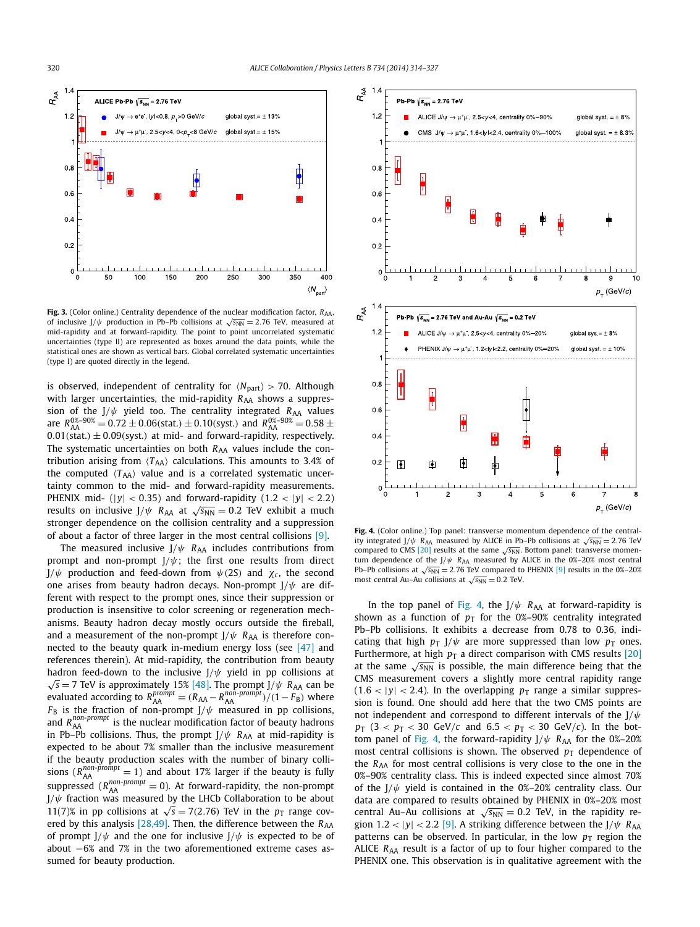<span id="page-6-0"></span>

Fig. 3. (Color online.) Centrality dependence of the nuclear modification factor, *R*<sub>AA</sub>, of inclusive J/ $\psi$  production in Pb–Pb collisions at  $\sqrt{s_{NN}} = 2.76$  TeV, measured at mid-rapidity and at forward-rapidity. The point to point uncorrelated systematic uncertainties (type II) are represented as boxes around the data points, while the statistical ones are shown as vertical bars. Global correlated systematic uncertainties (type I) are quoted directly in the legend.

is observed, independent of centrality for  $\langle N_{\text{part}} \rangle > 70$ . Although with larger uncertainties, the mid-rapidity  $R_{AA}$  shows a suppression of the J/ $\psi$  yield too. The centrality integrated  $R_{AA}$  values are  $R_{\text{AA}}^{0\% - 90\%} = 0.72 \pm 0.06$ (stat.)  $\pm 0.10$ (syst.) and  $R_{\text{AA}}^{0\% - 90\%} = 0.58 \pm 0.06$  $0.01$ (stat.)  $\pm 0.09$ (syst.) at mid- and forward-rapidity, respectively. The systematic uncertainties on both  $R_{AA}$  values include the contribution arising from  $\langle T_{AA} \rangle$  calculations. This amounts to 3.4% of the computed  $\langle T_{AA} \rangle$  value and is a correlated systematic uncertainty common to the mid- and forward-rapidity measurements. PHENIX mid-  $(|y| < 0.35)$  and forward-rapidity  $(1.2 < |y| < 2.2)$ results on inclusive  $J/\psi$  *R*<sub>AA</sub> at  $\sqrt{s_{NN}} = 0.2$  TeV exhibit a much stronger dependence on the collision centrality and a suppression of about a factor of three larger in the most central collisions [\[9\].](#page-8-0)

The measured inclusive  $J/\psi$  *R*<sub>AA</sub> includes contributions from prompt and non-prompt  $J/\psi$ ; the first one results from direct *J*/ $\psi$  production and feed-down from  $\psi$ (2S) and  $\chi$ <sup>*c*</sup>, the second one arises from beauty hadron decays. Non-prompt J*/ψ* are different with respect to the prompt ones, since their suppression or production is insensitive to color screening or regeneration mechanisms. Beauty hadron decay mostly occurs outside the fireball, and a measurement of the non-prompt  $J/\psi$   $R_{AA}$  is therefore connected to the beauty quark in-medium energy loss (see [\[47\]](#page-8-0) and references therein). At mid-rapidity, the contribution from beauty hadron feed-down to the inclusive J*/ψ* yield in pp collisions at  $\sqrt{s}$  = 7 TeV is approximately 15% [\[48\].](#page-8-0) The prompt  $J/\psi$  *R<sub>AA</sub>* can be evaluated according to  $R_{AA}^{prompt} = (R_{AA} - R_{AA}^{non-prompt})/(1 - F_B)$  where  $F_B$  is the fraction of non-prompt  $J/\psi$  measured in pp collisions, and *Rnon-prompt* AA is the nuclear modification factor of beauty hadrons in Pb–Pb collisions. Thus, the prompt  $J/\psi$  *R*<sub>AA</sub> at mid-rapidity is expected to be about 7% smaller than the inclusive measurement if the beauty production scales with the number of binary collisions ( $R_{AA}^{non-prompt}$  = 1) and about 17% larger if the beauty is fully suppressed ( $R_{AA}^{non-prompt} = 0$ ). At forward-rapidity, the non-prompt  $J/\psi$  fraction was measured by the LHCb Collaboration to be about 11(7)% in pp collisions at  $\sqrt{s} = 7(2.76)$  TeV in the  $p_T$  range cov-ered by this analysis [\[28,49\].](#page-8-0) Then, the difference between the *R*<sub>AA</sub> of prompt  $J/\psi$  and the one for inclusive  $J/\psi$  is expected to be of about −6% and 7% in the two aforementioned extreme cases assumed for beauty production.



**Fig. 4.** (Color online.) Top panel: transverse momentum dependence of the centrality integrated J/ $\psi$  *R*<sub>AA</sub> measured by ALICE in Pb–Pb collisions at  $\sqrt{s_{NN}} = 2.76$  TeV compared to CMS  $[20]$  results at the same  $\sqrt{s_{NN}}$ . Bottom panel: transverse momentum dependence of the  $J/\psi$  *R*<sub>AA</sub> measured by ALICE in the 0%–20% most central Pb–Pb collisions at  $\sqrt{s_{NN}}$  = 2.76 TeV compared to PHENIX [\[9\]](#page-8-0) results in the 0%–20% most central Au–Au collisions at  $\sqrt{s_{NN}} = 0.2$  TeV.

In the top panel of Fig. 4, the  $J/\psi$   $R_{AA}$  at forward-rapidity is shown as a function of  $p<sub>T</sub>$  for the 0%–90% centrality integrated Pb–Pb collisions. It exhibits a decrease from 0.78 to 0.36, indicating that high  $p_T$  *J/* $\psi$  are more suppressed than low  $p_T$  ones. Furthermore, at high  $p<sub>T</sub>$  a direct comparison with CMS results [\[20\]](#page-8-0) at the same  $\sqrt{s_{NN}}$  is possible, the main difference being that the CMS measurement covers a slightly more central rapidity range  $(1.6 < |y| < 2.4)$ . In the overlapping  $p<sub>T</sub>$  range a similar suppression is found. One should add here that the two CMS points are not independent and correspond to different intervals of the J*/ψ p*<sub>T</sub> (3 < *p*<sub>T</sub> < 30 GeV/*c* and 6.5 < *p*<sub>T</sub> < 30 GeV/*c*). In the bottom panel of Fig. 4, the forward-rapidity  $J/\psi$  *R*<sub>AA</sub> for the 0%–20% most central collisions is shown. The observed  $p_T$  dependence of the *R*<sub>AA</sub> for most central collisions is very close to the one in the 0%–90% centrality class. This is indeed expected since almost 70% of the J*/ψ* yield is contained in the 0%–20% centrality class. Our data are compared to results obtained by PHENIX in 0%–20% most central Au–Au collisions at  $\sqrt{s_{NN}} = 0.2$  TeV, in the rapidity region  $1.2 < |y| < 2.2$  [\[9\].](#page-8-0) A striking difference between the J/ $\psi$  *R*<sub>AA</sub> patterns can be observed. In particular, in the low  $p<sub>T</sub>$  region the ALICE R<sub>AA</sub> result is a factor of up to four higher compared to the PHENIX one. This observation is in qualitative agreement with the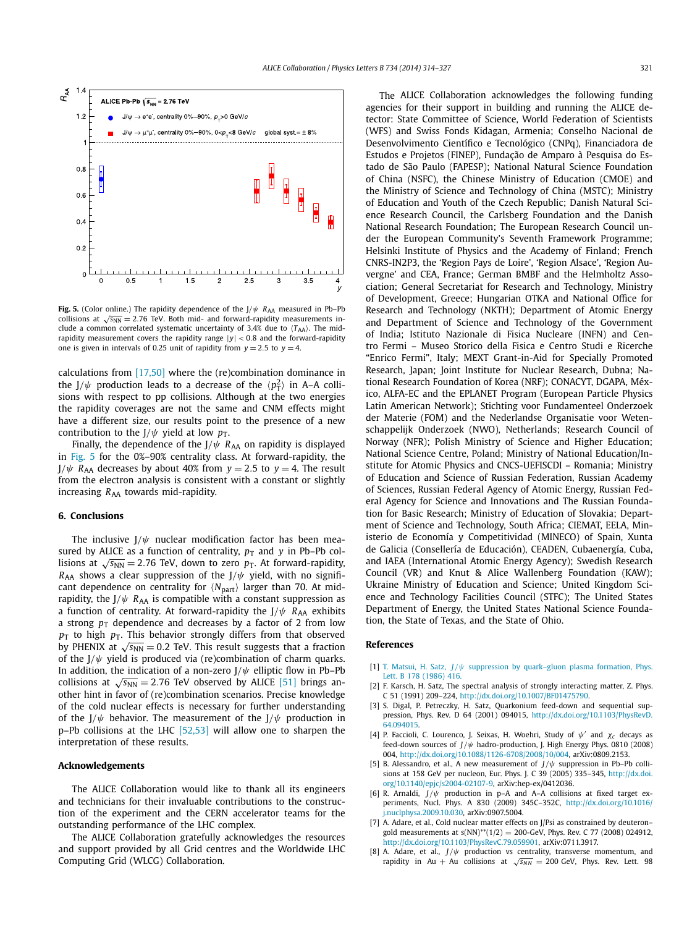<span id="page-7-0"></span>

**Fig. 5.** (Color online.) The rapidity dependence of the  $J/\psi$   $R_{AA}$  measured in Pb–Pb collisions at  $\sqrt{s_{NN}}$  = 2.76 TeV. Both mid- and forward-rapidity measurements include a common correlated systematic uncertainty of 3.4% due to  $(T_{AA})$ . The midrapidity measurement covers the rapidity range |*y*| *<* 0*.*8 and the forward-rapidity one is given in intervals of 0.25 unit of rapidity from  $y = 2.5$  to  $y = 4$ .

calculations from [\[17,50\]](#page-8-0) where the (re)combination dominance in the J/ $\psi$  production leads to a decrease of the  $\langle p_{\rm T}^2 \rangle$  in A–A collisions with respect to pp collisions. Although at the two energies the rapidity coverages are not the same and CNM effects might have a different size, our results point to the presence of a new contribution to the  $J/\psi$  yield at low  $p_T$ .

Finally, the dependence of the  $J/\psi$   $R_{AA}$  on rapidity is displayed in Fig. 5 for the 0%–90% centrality class. At forward-rapidity, the  $J/\psi$  *R*<sub>AA</sub> decreases by about 40% from  $y = 2.5$  to  $y = 4$ . The result from the electron analysis is consistent with a constant or slightly increasing  $R_{AA}$  towards mid-rapidity.

#### **6. Conclusions**

The inclusive J*/ψ* nuclear modification factor has been measured by ALICE as a function of centrality,  $p_T$  and  $y$  in Pb–Pb collisions at  $\sqrt{s_{NN}}$  = 2.76 TeV, down to zero  $p_T$ . At forward-rapidity,  $R_{AA}$  shows a clear suppression of the J/ $\psi$  yield, with no significant dependence on centrality for  $\langle N_{\text{part}} \rangle$  larger than 70. At midrapidity, the  $J/\psi$  *R*<sub>AA</sub> is compatible with a constant suppression as a function of centrality. At forward-rapidity the  $J/\psi$   $R_{AA}$  exhibits a strong  $p_T$  dependence and decreases by a factor of 2 from low  $p_T$  to high  $p_T$ . This behavior strongly differs from that observed by PHENIX at  $\sqrt{s_{NN}} = 0.2$  TeV. This result suggests that a fraction of the  $J/\psi$  yield is produced via (re)combination of charm quarks. In addition, the indication of a non-zero J*/ψ* elliptic flow in Pb–Pb collisions at  $\sqrt{s_{NN}}$  = 2.76 TeV observed by ALICE [\[51\]](#page-8-0) brings another hint in favor of (re)combination scenarios. Precise knowledge of the cold nuclear effects is necessary for further understanding of the  $J/\psi$  behavior. The measurement of the  $J/\psi$  production in p–Pb collisions at the LHC [\[52,53\]](#page-8-0) will allow one to sharpen the interpretation of these results.

#### **Acknowledgements**

The ALICE Collaboration would like to thank all its engineers and technicians for their invaluable contributions to the construction of the experiment and the CERN accelerator teams for the outstanding performance of the LHC complex.

The ALICE Collaboration gratefully acknowledges the resources and support provided by all Grid centres and the Worldwide LHC Computing Grid (WLCG) Collaboration.

The ALICE Collaboration acknowledges the following funding agencies for their support in building and running the ALICE detector: State Committee of Science, World Federation of Scientists (WFS) and Swiss Fonds Kidagan, Armenia; Conselho Nacional de Desenvolvimento Científico e Tecnológico (CNPq), Financiadora de Estudos e Projetos (FINEP), Fundação de Amparo à Pesquisa do Estado de São Paulo (FAPESP); National Natural Science Foundation of China (NSFC), the Chinese Ministry of Education (CMOE) and the Ministry of Science and Technology of China (MSTC); Ministry of Education and Youth of the Czech Republic; Danish Natural Science Research Council, the Carlsberg Foundation and the Danish National Research Foundation; The European Research Council under the European Community's Seventh Framework Programme; Helsinki Institute of Physics and the Academy of Finland; French CNRS-IN2P3, the 'Region Pays de Loire', 'Region Alsace', 'Region Auvergne' and CEA, France; German BMBF and the Helmholtz Association; General Secretariat for Research and Technology, Ministry of Development, Greece; Hungarian OTKA and National Office for Research and Technology (NKTH); Department of Atomic Energy and Department of Science and Technology of the Government of India; Istituto Nazionale di Fisica Nucleare (INFN) and Centro Fermi – Museo Storico della Fisica e Centro Studi e Ricerche "Enrico Fermi", Italy; MEXT Grant-in-Aid for Specially Promoted Research, Japan; Joint Institute for Nuclear Research, Dubna; National Research Foundation of Korea (NRF); CONACYT, DGAPA, México, ALFA-EC and the EPLANET Program (European Particle Physics Latin American Network); Stichting voor Fundamenteel Onderzoek der Materie (FOM) and the Nederlandse Organisatie voor Wetenschappelijk Onderzoek (NWO), Netherlands; Research Council of Norway (NFR); Polish Ministry of Science and Higher Education; National Science Centre, Poland; Ministry of National Education/Institute for Atomic Physics and CNCS-UEFISCDI – Romania; Ministry of Education and Science of Russian Federation, Russian Academy of Sciences, Russian Federal Agency of Atomic Energy, Russian Federal Agency for Science and Innovations and The Russian Foundation for Basic Research; Ministry of Education of Slovakia; Department of Science and Technology, South Africa; CIEMAT, EELA, Ministerio de Economía y Competitividad (MINECO) of Spain, Xunta de Galicia (Consellería de Educación), CEADEN, Cubaenergía, Cuba, and IAEA (International Atomic Energy Agency); Swedish Research Council (VR) and Knut & Alice Wallenberg Foundation (KAW); Ukraine Ministry of Education and Science; United Kingdom Science and Technology Facilities Council (STFC); The United States Department of Energy, the United States National Science Foundation, the State of Texas, and the State of Ohio.

#### **References**

- [1] T. Matsui, H. Satz, *J/ψ* suppression by [quark–gluon](http://refhub.elsevier.com/S0370-2693(14)00374-8/bib4D61747375693A31393836646Bs1) plasma formation, Phys. Lett. B 178 [\(1986\)](http://refhub.elsevier.com/S0370-2693(14)00374-8/bib4D61747375693A31393836646Bs1) 416.
- [2] F. Karsch, H. Satz, The spectral analysis of strongly interacting matter, Z. Phys. C 51 (1991) 209–224, <http://dx.doi.org/10.1007/BF01475790>.
- [3] S. Digal, P. Petreczky, H. Satz, Quarkonium feed-down and sequential suppression, Phys. Rev. D 64 (2001) 094015, [http://dx.doi.org/10.1103/PhysRevD.](http://dx.doi.org/10.1103/PhysRevD.64.094015) [64.094015](http://dx.doi.org/10.1103/PhysRevD.64.094015).
- [4] P. Faccioli, C. Lourenco, J. Seixas, H. Woehri, Study of *ψ* and *χ<sup>c</sup>* decays as feed-down sources of *J/ψ* hadro-production, J. High Energy Phys. 0810 (2008) 004, [http://dx.doi.org/10.1088/1126-6708/2008/10/004,](http://dx.doi.org/10.1088/1126-6708/2008/10/004) arXiv:0809.2153.
- [5] B. Alessandro, et al., A new measurement of *J/ψ* suppression in Pb–Pb collisions at 158 GeV per nucleon, Eur. Phys. J. C 39 (2005) 335–345, [http://dx.doi.](http://dx.doi.org/10.1140/epjc/s2004-02107-9) [org/10.1140/epjc/s2004-02107-9,](http://dx.doi.org/10.1140/epjc/s2004-02107-9) arXiv:hep-ex/0412036.
- [6] R. Arnaldi, *J/ψ* production in p–A and A–A collisions at fixed target experiments, Nucl. Phys. A 830 (2009) 345C–352C, [http://dx.doi.org/10.1016/](http://dx.doi.org/10.1016/j.nuclphysa.2009.10.030) [j.nuclphysa.2009.10.030,](http://dx.doi.org/10.1016/j.nuclphysa.2009.10.030) arXiv:0907.5004.
- [7] A. Adare, et al., Cold nuclear matter effects on J/Psi as constrained by deuteron– gold measurements at  $s(NN)^{*}(1/2) = 200$ -GeV, Phys. Rev. C 77 (2008) 024912, <http://dx.doi.org/10.1103/PhysRevC.79.059901>, arXiv:0711.3917.
- [8] A. Adare, et al., *J/ψ* production vs centrality, transverse momentum, and rapidity in Au + Au collisions at  $\sqrt{s_{NN}}$  = 200 GeV, Phys. Rev. Lett. 98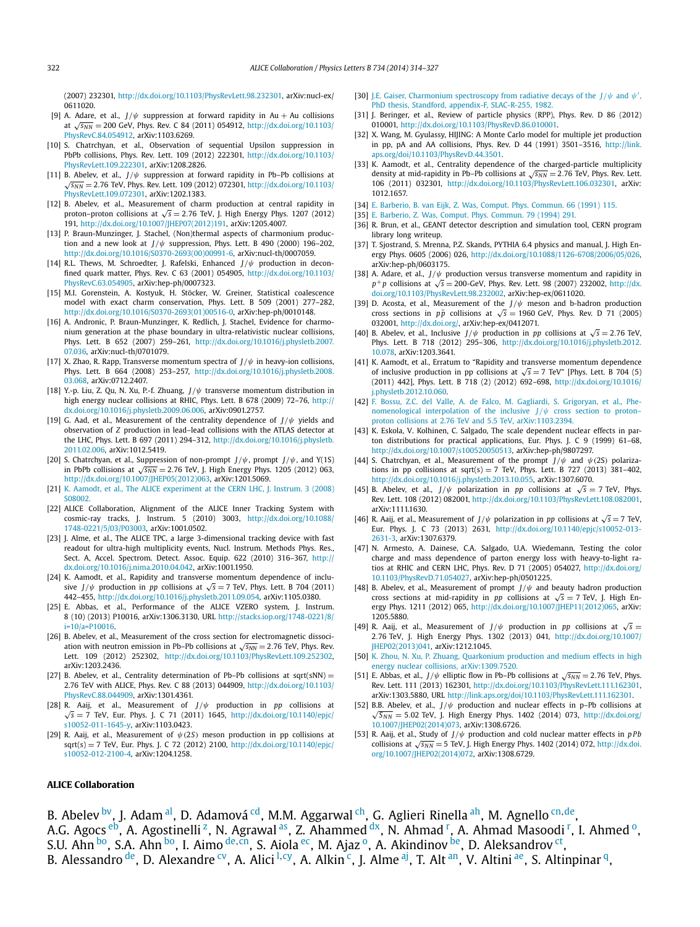<span id="page-8-0"></span>(2007) 232301, <http://dx.doi.org/10.1103/PhysRevLett.98.232301>, arXiv:nucl-ex/ 0611020.

- [9] A. Adare, et al.,  $J/\psi$  suppression at forward rapidity in Au + Au collisions at  $\sqrt{s_{NN}}$  = 200 GeV, Phys. Rev. C 84 (2011) 054912, [http://dx.doi.org/10.1103/](http://dx.doi.org/10.1103/PhysRevC.84.054912) [PhysRevC.84.054912,](http://dx.doi.org/10.1103/PhysRevC.84.054912) arXiv:1103.6269.
- [10] S. Chatrchyan, et al., Observation of sequential Upsilon suppression in PbPb collisions, Phys. Rev. Lett. 109 (2012) 222301, [http://dx.doi.org/10.1103/](http://dx.doi.org/10.1103/PhysRevLett.109.222301) [PhysRevLett.109.222301](http://dx.doi.org/10.1103/PhysRevLett.109.222301), arXiv:1208.2826.
- [11] B. Abelev, et al., *J*/ $\psi$  suppression at forward rapidity in Pb–Pb collisions at  $\sqrt{s_{NN}}$  = 2.76 TeV, Phys. Rev. Lett. 109 (2012) 072301, [http://dx.doi.org/10.1103/](http://dx.doi.org/10.1103/PhysRevLett.109.072301) [PhysRevLett.109.072301](http://dx.doi.org/10.1103/PhysRevLett.109.072301), arXiv:1202.1383.
- [12] B. Abelev, et al., Measurement of charm production at central rapidity in proton–proton collisions at  $\sqrt{s}$  = 2.76 TeV, J. High Energy Phys. 1207 (2012) 191, [http://dx.doi.org/10.1007/JHEP07\(2012\)191](http://dx.doi.org/10.1007/JHEP07(2012)191), arXiv:1205.4007.
- [13] P. Braun-Munzinger, J. Stachel, (Non)thermal aspects of charmonium production and a new look at *J/ψ* suppression, Phys. Lett. B 490 (2000) 196–202, [http://dx.doi.org/10.1016/S0370-2693\(00\)00991-6](http://dx.doi.org/10.1016/S0370-2693(00)00991-6), arXiv:nucl-th/0007059.
- [14] R.L. Thews, M. Schroedter, J. Rafelski, Enhanced *J/ψ* production in deconfined quark matter, Phys. Rev. C 63 (2001) 054905, [http://dx.doi.org/10.1103/](http://dx.doi.org/10.1103/PhysRevC.63.054905) [PhysRevC.63.054905,](http://dx.doi.org/10.1103/PhysRevC.63.054905) arXiv:hep-ph/0007323.
- [15] M.I. Gorenstein, A. Kostyuk, H. Stöcker, W. Greiner, Statistical coalescence model with exact charm conservation, Phys. Lett. B 509 (2001) 277–282, [http://dx.doi.org/10.1016/S0370-2693\(01\)00516-0](http://dx.doi.org/10.1016/S0370-2693(01)00516-0), arXiv:hep-ph/0010148.
- [16] A. Andronic, P. Braun-Munzinger, K. Redlich, J. Stachel, Evidence for charmonium generation at the phase boundary in ultra-relativistic nuclear collisions, Phys. Lett. B 652 (2007) 259–261, [http://dx.doi.org/10.1016/j.physletb.2007.](http://dx.doi.org/10.1016/j.physletb.2007.07.036) [07.036,](http://dx.doi.org/10.1016/j.physletb.2007.07.036) arXiv:nucl-th/0701079.
- [17] X. Zhao, R. Rapp, Transverse momentum spectra of *J/ψ* in heavy-ion collisions, Phys. Lett. B 664 (2008) 253–257, [http://dx.doi.org/10.1016/j.physletb.2008.](http://dx.doi.org/10.1016/j.physletb.2008.03.068) [03.068,](http://dx.doi.org/10.1016/j.physletb.2008.03.068) arXiv:0712.2407.
- [18] Y.-p. Liu, Z. Qu, N. Xu, P.-f. Zhuang, *J/ψ* transverse momentum distribution in high energy nuclear collisions at RHIC, Phys. Lett. B 678 (2009) 72–76, [http://](http://dx.doi.org/10.1016/j.physletb.2009.06.006) [dx.doi.org/10.1016/j.physletb.2009.06.006](http://dx.doi.org/10.1016/j.physletb.2009.06.006), arXiv:0901.2757.
- [19] G. Aad, et al., Measurement of the centrality dependence of *J/ψ* yields and observation of *Z* production in lead–lead collisions with the ATLAS detector at the LHC, Phys. Lett. B 697 (2011) 294–312, [http://dx.doi.org/10.1016/j.physletb.](http://dx.doi.org/10.1016/j.physletb.2011.02.006) [2011.02.006](http://dx.doi.org/10.1016/j.physletb.2011.02.006), arXiv:1012.5419.
- [20] S. Chatrchyan, et al., Suppression of non-prompt  $J/\psi$ , prompt  $J/\psi$ , and Y(1S) in PbPb collisions at  $\sqrt{s_{NN}}$  = 2.76 TeV, J. High Energy Phys. 1205 (2012) 063, [http://dx.doi.org/10.1007/JHEP05\(2012\)063](http://dx.doi.org/10.1007/JHEP05(2012)063), arXiv:1201.5069.
- [21] K. Aamodt, et al., The ALICE [experiment](http://refhub.elsevier.com/S0370-2693(14)00374-8/bib41616D6F64743A323030387A7As1) at the CERN LHC, J. Instrum. 3 (2008) [S08002.](http://refhub.elsevier.com/S0370-2693(14)00374-8/bib41616D6F64743A323030387A7As1)
- [22] ALICE Collaboration, Alignment of the ALICE Inner Tracking System with cosmic-ray tracks, J. Instrum. 5 (2010) 3003, [http://dx.doi.org/10.1088/](http://dx.doi.org/10.1088/1748-0221/5/03/P03003) [1748-0221/5/03/P03003](http://dx.doi.org/10.1088/1748-0221/5/03/P03003), arXiv:1001.0502.
- [23] J. Alme, et al., The ALICE TPC, a large 3-dimensional tracking device with fast readout for ultra-high multiplicity events, Nucl. Instrum. Methods Phys. Res., Sect. A, Accel. Spectrom. Detect. Assoc. Equip. 622 (2010) 316–367, [http://](http://dx.doi.org/10.1016/j.nima.2010.04.042) [dx.doi.org/10.1016/j.nima.2010.04.042](http://dx.doi.org/10.1016/j.nima.2010.04.042), arXiv:1001.1950.
- [24] K. Aamodt, et al., Rapidity and transverse momentum dependence of inclusive *J*/ $\psi$  production in *pp* collisions at  $\sqrt{s} = 7$  TeV, Phys. Lett. B 704 (2011) 442–455, <http://dx.doi.org/10.1016/j.physletb.2011.09.054>, arXiv:1105.0380.
- [25] E. Abbas, et al., Performance of the ALICE VZERO system. I. Instrum. 8 (10) (2013) P10016, arXiv:1306.3130, URL [http://stacks.iop.org/1748-0221/8/](http://stacks.iop.org/1748-0221/8/i=10/a=P10016) [i=10/a=P10016](http://stacks.iop.org/1748-0221/8/i=10/a=P10016).
- [26] B. Abelev, et al., Measurement of the cross section for electromagnetic dissociation with neutron emission in Pb–Pb collisions at  $\sqrt{s_{NN}}$  = 2.76 TeV, Phys. Rev. Lett. 109 (2012) 252302, <http://dx.doi.org/10.1103/PhysRevLett.109.252302>, arXiv:1203.2436.
- [27] B. Abelev, et al., Centrality determination of Pb–Pb collisions at sqrt(sNN) = 2.76 TeV with ALICE, Phys. Rev. C 88 (2013) 044909, [http://dx.doi.org/10.1103/](http://dx.doi.org/10.1103/PhysRevC.88.044909) [PhysRevC.88.044909,](http://dx.doi.org/10.1103/PhysRevC.88.044909) arXiv:1301.4361.
- [28] R. Aaij, et al., Measurement of *<sup>J</sup>/ψ* production in *pp* collisions at <sup>√</sup>*<sup>s</sup>* <sup>=</sup> 7 TeV, Eur. Phys. J. <sup>C</sup> <sup>71</sup> (2011) 1645, [http://dx.doi.org/10.1140/epjc/](http://dx.doi.org/10.1140/epjc/s10052-011-1645-y) [s10052-011-1645-y,](http://dx.doi.org/10.1140/epjc/s10052-011-1645-y) arXiv:1103.0423.
- [29] R. Aaij, et al., Measurement of *ψ(*2*S)* meson production in pp collisions at  $sqrt(s) = 7$  TeV, Eur. Phys. J. C 72 (2012) 2100, [http://dx.doi.org/10.1140/epjc/](http://dx.doi.org/10.1140/epjc/s10052-012-2100-4) [s10052-012-2100-4](http://dx.doi.org/10.1140/epjc/s10052-012-2100-4), arXiv:1204.1258.
- [30] J.E. Gaiser, [Charmonium](http://refhub.elsevier.com/S0370-2693(14)00374-8/bib4342646566s1) spectroscopy from radiative decays of the  $J/\psi$  and  $\psi'$ , PhD thesis, Standford, appendix-F, [SLAC-R-255,](http://refhub.elsevier.com/S0370-2693(14)00374-8/bib4342646566s1) 1982.
- [31] J. Beringer, et al., Review of particle physics (RPP), Phys. Rev. D 86 (2012) 010001, [http://dx.doi.org/10.1103/PhysRevD.86.010001.](http://dx.doi.org/10.1103/PhysRevD.86.010001)
- [32] X. Wang, M. Gyulassy, HIJING: A Monte Carlo model for multiple jet production in pp, pA and AA collisions, Phys. Rev. D 44 (1991) 3501–3516, [http://link.](http://link.aps.org/doi/10.1103/PhysRevD.44.3501) [aps.org/doi/10.1103/PhysRevD.44.3501](http://link.aps.org/doi/10.1103/PhysRevD.44.3501).
- [33] K. Aamodt, et al., Centrality dependence of the charged-particle multiplicity density at mid-rapidity in Pb–Pb collisions at  $\sqrt{s_{NN}}$  = 2.76 TeV. Phys. Rev. Lett. 106 (2011) 032301, <http://dx.doi.org/10.1103/PhysRevLett.106.032301>, arXiv: 1012.1657.
- [34] E. Barberio, B. van Eijk, Z. Was, Comput. Phys. [Commun.](http://refhub.elsevier.com/S0370-2693(14)00374-8/bib50484F544F533A31393931s1) 66 (1991) 115.
- [35] E. Barberio, Z. Was, Comput. Phys. [Commun.](http://refhub.elsevier.com/S0370-2693(14)00374-8/bib50484F544F533A31393934s1) 79 (1994) 291.
- [36] R. Brun, et al., GEANT detector description and simulation tool, CERN program library long writeup.
- [37] T. Sjostrand, S. Mrenna, P.Z. Skands, PYTHIA 6.4 physics and manual, J. High Energy Phys. 0605 (2006) 026, <http://dx.doi.org/10.1088/1126-6708/2006/05/026>, arXiv:hep-ph/0603175.
- [38] A. Adare, et al., *J/ψ* production versus transverse momentum and rapidity in *p*<sup>+</sup> *p* collisions at  $\sqrt{s}$  = 200-GeV, Phys. Rev. Lett. 98 (2007) 232002, [http://dx.](http://dx.doi.org/10.1103/PhysRevLett.98.232002) [doi.org/10.1103/PhysRevLett.98.232002](http://dx.doi.org/10.1103/PhysRevLett.98.232002), arXiv:hep-ex/0611020.
- [39] D. Acosta, et al., Measurement of the *J/ψ* meson and b-hadron production cross sections in *pp* collisions at  $\sqrt{s}$  = 1960 GeV, Phys. Rev. D 71 (2005) 032001, [http://dx.doi.org/,](http://dx.doi.org/10.1103/PhysRevD.71.032001) arXiv:hep-ex/0412071.
- [40] B. Abelev, et al., Inclusive  $J/\psi$  production in *pp* collisions at  $\sqrt{s} = 2.76$  TeV, Phys. Lett. B 718 (2012) 295–306, [http://dx.doi.org/10.1016/j.physletb.2012.](http://dx.doi.org/10.1016/j.physletb.2012.10.078) [10.078,](http://dx.doi.org/10.1016/j.physletb.2012.10.078) arXiv:1203.3641.
- [41] K. Aamodt, et al., Erratum to "Rapidity and transverse momentum dependence of inclusive production in pp collisions at  $\sqrt{s} = 7$  TeV" [Phys. Lett. B 704 (5) (2011) 442], Phys. Lett. B 718 (2) (2012) 692–698, [http://dx.doi.org/10.1016/](http://dx.doi.org/10.1016/j.physletb.2012.10.060) [j.physletb.2012.10.060](http://dx.doi.org/10.1016/j.physletb.2012.10.060).
- [42] F. Bossu, Z.C. del Valle, A. de Falco, M. Gagliardi, S. [Grigoryan,](http://refhub.elsevier.com/S0370-2693(14)00374-8/bib426F7373753A323031317165s1) et al., Phe[nomenological](http://refhub.elsevier.com/S0370-2693(14)00374-8/bib426F7373753A323031317165s1) interpolation of the inclusive *J/ψ* cross section to proton– proton collisions at 2.76 TeV and 5.5 TeV, [arXiv:1103.2394.](http://refhub.elsevier.com/S0370-2693(14)00374-8/bib426F7373753A323031317165s1)
- [43] K. Eskola, V. Kolhinen, C. Salgado, The scale dependent nuclear effects in parton distributions for practical applications, Eur. Phys. J. C 9 (1999) 61–68, <http://dx.doi.org/10.1007/s100520050513>, arXiv:hep-ph/9807297.
- [44] S. Chatrchyan, et al., Measurement of the prompt *J/ψ* and *ψ(*2S*)* polarizations in pp collisions at sqrt(s) = 7 TeV, Phys. Lett. B 727 (2013) 381-402, [http://dx.doi.org/10.1016/j.physletb.2013.10.055,](http://dx.doi.org/10.1016/j.physletb.2013.10.055) arXiv:1307.6070.
- [45] B. Abelev, et al., *J*/ $\psi$  polarization in *pp* collisions at  $\sqrt{s} = 7$  TeV, Phys. Rev. Lett. 108 (2012) 082001, <http://dx.doi.org/10.1103/PhysRevLett.108.082001>, arXiv:1111.1630.
- [46] R. Aaij, et al., Measurement of *J*/ $\psi$  polarization in *pp* collisions at  $\sqrt{s} = 7$  TeV, Eur. Phys. J. C 73 (2013) 2631, [http://dx.doi.org/10.1140/epjc/s10052-013-](http://dx.doi.org/10.1140/epjc/s10052-013-2631-3) [2631-3,](http://dx.doi.org/10.1140/epjc/s10052-013-2631-3) arXiv:1307.6379.
- [47] N. Armesto, A. Dainese, C.A. Salgado, U.A. Wiedemann, Testing the color charge and mass dependence of parton energy loss with heavy-to-light ratios at RHIC and CERN LHC, Phys. Rev. D 71 (2005) 054027, [http://dx.doi.org/](http://dx.doi.org/10.1103/PhysRevD.71.054027) [10.1103/PhysRevD.71.054027](http://dx.doi.org/10.1103/PhysRevD.71.054027), arXiv:hep-ph/0501225.
- [48] B. Abelev, et al., Measurement of prompt *J/ψ* and beauty hadron production cross sections at mid-rapidity in *pp* collisions at  $\sqrt{s} = 7$  TeV, J. High Energy Phys. 1211 (2012) 065, [http://dx.doi.org/10.1007/JHEP11\(2012\)065](http://dx.doi.org/10.1007/JHEP11(2012)065), arXiv: 1205.5880.
- [49] R. Aaij, et al., Measurement of *J*/ $\psi$  production in *pp* collisions at  $\sqrt{s}$  = 2*.*76 TeV, J. High Energy Phys. 1302 (2013) 041, [http://dx.doi.org/10.1007/](http://dx.doi.org/10.1007/JHEP02(2013)041) [JHEP02\(2013\)041](http://dx.doi.org/10.1007/JHEP02(2013)041), arXiv:1212.1045.
- [50] K. Zhou, N. Xu, P. Zhuang, [Quarkonium](http://refhub.elsevier.com/S0370-2693(14)00374-8/bib5A686F753A32303133s1) production and medium effects in high energy nuclear collisions, [arXiv:1309.7520.](http://refhub.elsevier.com/S0370-2693(14)00374-8/bib5A686F753A32303133s1)
- [51] E. Abbas, et al., *J*/ $\psi$  elliptic flow in Pb–Pb collisions at  $\sqrt{s_{NN}} = 2.76$  TeV, Phys. Rev. Lett. 111 (2013) 162301, <http://dx.doi.org/10.1103/PhysRevLett.111.162301>, arXiv:1303.5880, URL [http://link.aps.org/doi/10.1103/PhysRevLett.111.162301.](http://link.aps.org/doi/10.1103/PhysRevLett.111.162301)
- [52] B.B. Abelev, et al., *J*/ $\psi$  production and nuclear effects in p–Pb collisions at  $\sqrt{S_{NN}}$  = 5.02 TeV, J. High Energy Phys. 1402 (2014) 073, [http://dx.doi.org/](http://dx.doi.org/10.1007/JHEP02(2014)073) [10.1007/JHEP02\(2014\)073,](http://dx.doi.org/10.1007/JHEP02(2014)073) arXiv:1308.6726.
- [53] R. Aaij, et al., Study of *J/ψ* production and cold nuclear matter effects in *pPb* collisions at  $\sqrt{s_{NN}}$  = 5 TeV, J. High Energy Phys. 1402 (2014) 072, [http://dx.doi.](http://dx.doi.org/10.1007/JHEP02(2014)072) [org/10.1007/JHEP02\(2014\)072](http://dx.doi.org/10.1007/JHEP02(2014)072), arXiv:1308.6729.

#### **ALICE Collaboration**

B. Abelev [bv,](#page-12-0) J. Adam [al](#page-12-0), D. Adamová [cd,](#page-12-0) M.M. Aggarwal [ch,](#page-12-0) G. Aglieri Rinella [ah,](#page-12-0) M. Agnello [cn](#page-12-0)*,*[de,](#page-12-0) A.G. Agocs <sup>eb</sup>, A. Agostinelli <sup>z</sup>, N. Ag[r](#page-11-0)awal <sup>as</sup>, Z. Ahammed <sup>dx</sup>, N. Ahmad <sup>r</sup>, A. Ahmad Masoodi <sup>r</sup>, I. Ahmed <sup>o</sup>, S.U. Ahn <sup>bo</sup>, S.A. Ahn <sup>bo</sup>, I. Aimo <sup>[de](#page-12-0),cn</sup>, S. Aiola <sup>ec</sup>, M. Ajaz <sup>o</sup>, A. Akindinov <sup>be</sup>, D. Aleksandrov <sup>ct</sup>, B. A[l](#page-11-0)essandro <sup>de</sup>, D. Alexandre <sup>cv</sup>, A. Alici <sup>l,cy</sup>, A. Alkin <sup>c</sup>, J. Alme <sup>aj</sup>, T. Alt <sup>an</sup>, V. Altini <sup>ae</sup>, S. Altinpinar <sup>q</sup>,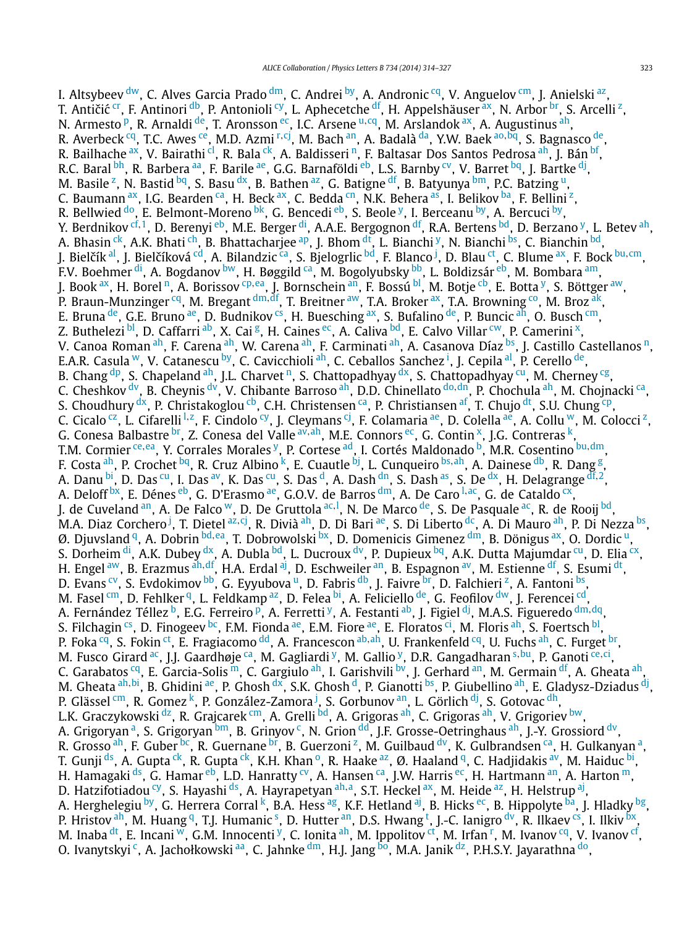I. Altsybeev  $\frac{dw}{dx}$ , C. Alves Garcia Prado  $\frac{dm}{dx}$ , C. Andrei [by,](#page-12-0) A. Andronic  $\frac{cq}{dx}$ , V. Anguelov  $\frac{cm}{dx}$ , J. Anielski  $\frac{az}{dx}$ , T. Antičić<sup>cr</sup>, F. Antinori [db](#page-12-0), P. Antonioli <sup>cy</sup>, L. Aphecetche [df,](#page-12-0) H. Appelshäuser [ax,](#page-12-0) N. Arbor [br,](#page-12-0) S. Arcelli<sup>z</sup>, N. Armesto <sup>p</sup>, R. Arnaldi <sup>de</sup>, T. Aronsson <sup>[ec](#page-13-0)</s[u](#page-11-0)p>, I.C. Arsene u,[cq,](#page-12-0) M. Arslandok [ax,](#page-12-0) A. Augustinus [ah,](#page-12-0) R. Averbeck [cq,](#page-12-0) T.C. Awes [ce,](#page-12-0) M.D. Azmi [r](#page-11-0)*,*[cj,](#page-12-0) M. Bach [an,](#page-12-0) A. Badalà [da,](#page-12-0) Y.W. Baek [ao](#page-12-0)*,*[bq,](#page-12-0) S. Bagnasco [de](#page-12-0), R. Bailhache [ax,](#page-12-0) V. Bairathi <sup>cl</sup>, R. Bala <sup>[ck](#page-12-0)</sup>, A. Baldisseri <sup>n</sup>, F. Baltasar Dos Santos Pedrosa [ah,](#page-12-0) J. Bán [bf,](#page-12-0) R.C. Baral [bh,](#page-12-0) R. Barbera [aa,](#page-11-0) F. Barile [ae,](#page-11-0) G.G. Barnaföldi [eb,](#page-13-0) L.S. Barnby CV, V. Barret [bq,](#page-12-0) J. Bartke [dj,](#page-13-0) M. Basile <sup>z</sup>, N. Bastid <sup>bq</sup>, S. Basu <sup>dx</sup>, B. Bathen <sup>az</sup>, G. Batigne <sup>df</sup>, B. Batyunya <sup>bm</sup>, P.C. Batzing <sup>u</sup>, C. Baumann <sup>ax</sup>, I.G. Bearden <sup>ca</sup>, H. Beck <sup>ax</sup>, C. Bedda <sup>[cn](#page-12-0)</sup>, N.K. Behera <sup>as</sup>, I. Belikov <sup>ba</sup>, F. Bellini <sup>[z](#page-11-0)</sup>, R. Bellwied  $\frac{d_0}{d_0}$ , E. Belmont-Moreno  $\frac{dk}{d_0}$ , G. Bencedi  $\frac{eb}{d_0}$ , S. Beole  $\frac{y}{d_0}$ , I. Berceanu  $\frac{by}{d_0}$  $\frac{by}{d_0}$  $\frac{by}{d_0}$ , A. Bercuci  $\frac{by}{d_0}$ , Y. Berdnikov [cf](#page-12-0), [1,](#page-13-0) D. Berenyi [eb,](#page-13-0) M.E. Berger [di,](#page-13-0) A.A.E. Bergognon [df,](#page-12-0) R.A. Bertens [bd,](#page-12-0) D. Berzano <sup>[y](#page-11-0)</sup>, L. Betev [ah,](#page-12-0) A. Bhasin <sup>ck</sup>, A.K. Bhati <sup>ch</sup>, B. Bhattacharjee <sup>ap</sup>, J. Bhom <sup>dt</sup>, L. Bianchi <sup>y</sup>, N. Bianchi <sup>bs</sup>, C. Bianchin <sup>bd</sup>, J. Bielčík <sup>al</sup>, J. Bielčíková <sup>cd</sup>, A. Bilandzic <sup>ca</sup>, S. B[j](#page-11-0)elogrlic <sup>bd</sup>, F. Blanco <sup>j</sup>, D. Blau <sup>ct</sup>, C. Blume <sup>ax</sup>, F. Bock <sup>[bu](#page-12-0),cm</sup>, F.V. Boehmer [di,](#page-13-0) A. Bogdanov [bw](#page-12-0), H. Bøggild Ca, M. Bogolyubsky [bb,](#page-12-0) L. Boldizsár [eb,](#page-13-0) M. Bombara [am,](#page-12-0) J. Book [ax,](#page-12-0) H. Borel [n,](#page-11-0) A. Borissov [cp](#page-12-0)*,*[ea,](#page-13-0) J. Bornschein [an,](#page-12-0) F. Bossú [bl,](#page-12-0) M. Botje [cb,](#page-12-0) E. Botta [y,](#page-11-0) S. Böttger [aw,](#page-12-0) P. Braun-Munzinger <sup>cq</sup>, M. Bregant <sup>[dm](#page-13-0),df</sup>, T. Breitner <sup>aw</sup>, T.A. Broker <sup>ax</sup>, T.A. Browning <sup>co</sup>, M. Broz <sup>ak</sup>, E. Bruna  $^{\text{de}}$  $^{\text{de}}$  $^{\text{de}}$ , G.E. Bruno  $^{\text{ae}}$ , D. Budnikov Cs, H. Buesching  $^{\text{ax}}$ , S. Bufalino  $^{\text{de}}$ , P. Buncic  $^{\text{ah}}$ , O. Busch [cm,](#page-12-0) Z. Buthelezi <sup>[bl](#page-12-0)</sup>, D. Caffarri <sup>ab</sup>, X. Cai <sup>g</sup>, H. Caines <sup>ec</sup>, A. Caliva <sup>bd</sup>, E. Calvo Villar <sup>cw</sup>, P. Camerini <sup>x</sup>, V. Canoa Roman<sup>ah</sup>, F. Carena<sup>ah</sup>, W. Carena<sup>ah</sup>, F. Carminati<sup>ah</sup>, A. Casanova Díaz <sup>bs</sup>, J. Castillo Castellanos <sup>n</sup>, E.A.R. Casula <sup>w</sup>, V. Catanescu <sup>by</sup>, C. Cav[i](#page-11-0)cchioli <sup>ah</sup>, C. Ceballos Sanchez <sup>i</sup>, J. Cepila <sup>al</sup>, P. Cerello <sup>de</sup>, B. Chang <sup>dp</sup>, S. Chapeland <sup>ah</sup>, J.L. Charvet <sup>n</sup>, S. Chattopadhyay <sup>dx</sup>, S. Chattopadhyay <sup>cu</sup>, M. Cherney <sup>cg</sup>, C. Cheshkov [dv,](#page-13-0) B. Cheynis [dv,](#page-13-0) V. Chibante Barroso [ah,](#page-12-0) D.D. Chinellato [do](#page-13-0)*,*[dn,](#page-13-0) P. Chochula [ah,](#page-12-0) M. Chojnacki [ca,](#page-12-0) S. Choudhury  $dx$ , P. Christakoglou <sup>cb</sup>, C.H. Christensen <sup>ca</sup>, P. Christiansen [af,](#page-12-0) T. Chujo [dt,](#page-13-0) S.U. Chung <sup>cp</sup>, C. Cica[l](#page-11-0)o <sup>c[z](#page-11-0)</sup>, L. Cifarelli <sup>1, z</sup>, F. Cindolo <sup>cy</sup>, J. Cleymans <sup>cj</sup>, F. Colamaria <sup>ae</sup>, D. Colella <sup>ae</sup>, A. Collu <sup>w</sup>, M. Colocci <sup>z</sup>, G. Conesa Balbastre <sup>br</sup>, Z. Conesa del Valle [av](#page-12-0), [ah,](#page-12-0) M.E. Connors [ec,](#page-13-0) G. Contin<sup>x</sup>, J.G. Contreras <sup>[k](#page-11-0)</sup>, T.M. Cormier <sup>[ce](#page-12-0),ea</sup>, Y. Corrales Morales <sup>y</sup>, P. Cortese <sup>ad</sup>, I. Cortés Maldonado <sup>b</sup>, M.R. Cosentino <sup>[bu](#page-12-0),dm</sup>, F. Costa <sup>ah</sup>, P. Crochet <sup>[bq](#page-12-0)</sup>, R. Cruz Albino <sup>[k](#page-11-0)</sup>, E. Cuautle <sup>bj</sup>, L. Cunqueiro <sup>[bs](#page-12-0), ah</sup>, A. Dainese <sup>db</sup>, R. Dang <sup>g</sup>, A. Danu <sup>bi</sup>, D. Das <sup>cu</sup>, I. Das <sup>av</sup>, K. Das <sup>cu</sup>, S. Das <sup>d</sup>, A. Dash <sup>dn</sup>, S. Dash <sup>as</sup>, S. De <sup>dx</sup>, H. Delagrange [df](#page-12-0), [2,](#page-13-0) A. Deloff<sup>[bx](#page-12-0)</sup>, E. Dénes <sup>eb</sup>, G. D'Erasmo <sup>ae</sup>, G.O.V. de Barros [dm,](#page-13-0) A. De Caro <sup>[l](#page-11-0), ac</sup>, G. de Cataldo <sup>cx</sup>, J. de Cuveland <sup>an</sup>, A. De Falco <sup>w</sup>, D. De Gruttola <sup>[ac](#page-11-0), [l](#page-11-0)</sup>, N. De Marco <sup>[de](#page-12-0)</sup>, S. De Pasquale <sup>ac</sup>, R. de Rooij <sup>bd</sup>, M.A. Diaz Corchero <sup>[j](#page-11-0)</sup>, T. Dietel <sup>[az](#page-12-0),cj</sup>, R. Divià <sup>[ah](#page-12-0)</sup>, D. Di Bari <sup>ae</sup>, S. Di Liberto <sup>dc</sup>, A. Di Mauro <sup>ah</sup>, P. Di Nezza <sup>[bs](#page-12-0)</sup>, Ø. Djuvsland <sup>q</sup>, A. Dobrin <sup>[bd](#page-12-0),ea</sup>, T. Dobrowolski <sup>bx</sup>, D. Domenicis Gimenez <sup>[dm](#page-13-0)</sup>, B. Dönigus <sup>[ax](#page-12-0)</sup>, O. Dordic <sup>u</sup>, S. Dorheim <sup>di</sup>, A.K. Dubey <sup>dx</sup>, A. Dubla <sup>bd</sup>, L. Ducroux <sup>[dv](#page-13-0)</sup>, P. Dupieux <sup>bq</sup>, A.K. Dutta Majumdar <sup>cu</sup>, D. Elia <sup>cx</sup>, H. Engel <sup>aw</sup>, B. Erazmus <sup>[ah](#page-12-0),df</sup>, H.A. Erdal <sup>[aj](#page-12-0)</sup>, D. Eschweiler <sup>an</sup>, B. Espagnon <sup>av</sup>, M. Estienne <sup>df</sup>, S. Esumi <sup>dt</sup>, D. Evans <sup>cv</sup>, S. Evdokimov <sup>bb</sup>, G. Eyyubova <sup>u</sup>, D. Fabris <sup>db</sup>, J. Faivre <sup>br</sup>, D. Falchieri <sup>z</sup>, A. Fantoni <sup>bs</sup>, M. Fasel <sup>cm</sup>, D. Fehlker <sup>q</sup>, L. Feldkamp <sup>az</sup>, D. Felea <sup>bi</sup>, A. Feliciello <sup>[de](#page-12-0)</sup>, G. Feofilov <sup>dw</sup>, J. Ferencei <sup>[cd](#page-12-0)</sup>, A. Fernández Téllez <sup>b</sup>, E.G. Ferreiro <sup>p</sup>, A. Ferretti <sup>y</sup>, A. Festanti a[b,](#page-11-0) J. Figiel <sup>dj</sup>, M.A.S. Figueredo <sup>[dm](#page-13-0),dq</sup>, S. Filchagin<sup>[cs](#page-12-0)</sup>, D. Finogeev <sup>bc</sup>, F.M. Fionda <sup>ae</sup>, E.M. Fiore <sup>ae</sup>, E. Floratos [ci,](#page-12-0) M. Floris <sup>[ah](#page-12-0)</sup>, S. Foertsch <sup>bl</sup>, P. Foka <sup>cq</sup>, S. Fokin <sup>ct</sup>, E. Fragiacomo <sup>dd</sup>, A. Francescon [ab](#page-11-0), [ah,](#page-12-0) U. Frankenfeld <sup>cq</sup>, U. Fuchs <sup>[ah](#page-12-0)</sup>, C. Furget <sup>br</sup>, M. Fusco Girard [ac](#page-11-0), J.J. Gaardhøje [ca,](#page-12-0) M. Gagliardi [y,](#page-11-0) M. Gallio [y,](#page-11-0) D.R. Gangadharan [s](#page-11-0)*,*[bu,](#page-12-0) P. Ganoti [ce](#page-12-0)*,*[ci,](#page-12-0) C. Garabatos <sup>cq</sup>, E. Garcia-Solis [m](#page-11-0), C. Gargiulo [ah](#page-12-0), I. Garishvili [bv,](#page-12-0) J. Gerhard [an,](#page-12-0) M. Germain [df,](#page-12-0) A. Gheata [ah,](#page-12-0) M. Gheata [ah](#page-12-0), [bi,](#page-12-0) B. Ghidini [ae,](#page-11-0) P. Ghosh [dx,](#page-13-0) S.K. Ghosh [d,](#page-11-0) P. Gianotti [bs,](#page-12-0) P. Giubellino [ah,](#page-12-0) E. Gladysz-Dziadus [dj,](#page-13-0) P. Glässel <sup>cm</sup>, R. Gomez <sup>k</sup>, P. González-Zamora <sup>[j](#page-11-0)</sup>, S. Gorbunov <sup>[an](#page-12-0)</sup>, L. Görlich <sup>dj</sup>, S. Gotovac <sup>[dh](#page-13-0)</sup>, L.K. Graczykowski <sup>dz</sup>, R. Grajcarek <sup>cm</sup>, A. Grelli <sup>bd</sup>, A. Grigoras <sup>ah</sup>, C. Grigoras <sup>ah</sup>, V. Grigoriev <sup>bw</sup>, A. Grigoryan<sup>a</sup>, S. Grigoryan [bm,](#page-12-0) B. Grinyov<sup>c</sup>, N. Grion [dd,](#page-12-0) J.F. Grosse-Oetringhaus [ah](#page-12-0), J.-Y. Grossiord [dv,](#page-13-0) R. Grosso [ah,](#page-12-0) F. Guber [bc](#page-12-0), R. Guernane [br,](#page-12-0) B. Guerzoni<sup>z</sup>, M. Guilbaud [dv,](#page-13-0) K. Gulbrandsen <sup>ca</sup>, H. Gulkanyan [a,](#page-11-0) T. Gunji [ds,](#page-13-0) A. Gupta <sup>ck</sup>, R. Gupta <sup>ck</sup>, K.H. Khan <sup>o</sup>, R. Haake <sup>az</sup>, Ø. Haaland <sup>q</sup>, C. Hadjidakis <sup>av</sup>, M. Haiduc <sup>bi</sup>, H. Hamagaki [ds,](#page-13-0) G. Hamar [eb,](#page-13-0) L.D. Hanratty [cv,](#page-12-0) A. Hansen [ca,](#page-12-0) J.W. Harris [ec,](#page-13-0) H. Hartmann [an,](#page-12-0) A. Harton [m,](#page-11-0) D. Hatzifotiadou <sup>cy</sup>, S. Hayashi [ds,](#page-13-0) A. Hayrapetyan [ah](#page-12-0), [a,](#page-11-0) S.T. Heckel [ax,](#page-12-0) M. Heide [az,](#page-12-0) H. Helstrup [aj,](#page-12-0) A. Herghelegiu [by,](#page-12-0) G. Herrera Corral [k,](#page-11-0) B.A. Hess <sup>ag</sup>, K.F. Hetland [aj,](#page-12-0) B. Hicks [ec](#page-13-0), B. Hippolyte [ba,](#page-12-0) J. Hladky [bg,](#page-12-0) P. Hri[s](#page-11-0)[t](#page-11-0)ov <sup>ah</sup>, M. Huang <sup>q</sup>, T.J. Humanic <sup>s</sup>, D. Hutter <sup>an</sup>, D.S. Hwang <sup>t</sup>, J.-C. Ianigro <sup>dv</sup>, R. Ilkaev <sup>cs</sup>, I. Ilkiv <sup>bx</sup>, M. Inaba <sup>dt</sup>, E. Incani <sup>w</sup>, G.M. Innocenti <sup>y</sup>, C. Ionita <sup>ah</sup>, M. Ippolitov <sup>ct</sup>, M. I[r](#page-11-0)fan <sup>r</sup>, M. Ivanov <sup>cq</sup>, V. Ivanov <sup>cf</sup>, O. Ivanytskyi <sup>c</sup>, A. Jachołkowski <sup>aa</sup>, C. Jahnke [dm,](#page-13-0) H.J. Jang <sup>bo</sup>, M.A. Janik <sup>dz</sup>, P.H.S.Y. Jayarathna <sup>do</sup>,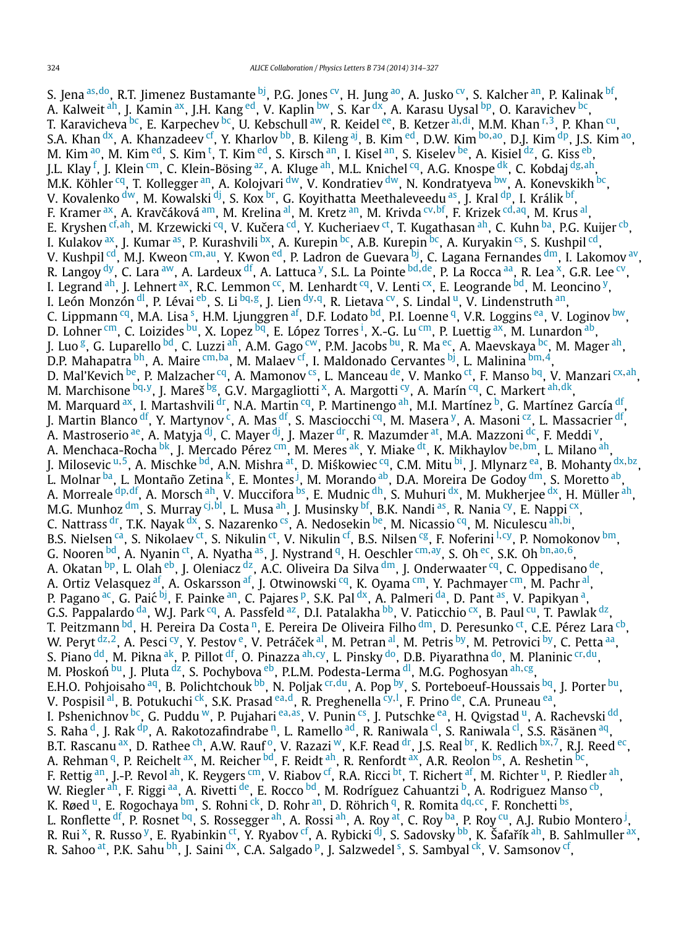S. Jena [as](#page-12-0), [do,](#page-13-0) R.T. Jimenez Bustamante [bj,](#page-12-0) P.G. Jones CV, H. Jung [ao,](#page-12-0) A. Jusko CV, S. Kalcher [an,](#page-12-0) P. Kalinak [bf](#page-12-0), A. Kalweit <sup>ah</sup>, J. Kamin <sup>ax</sup>, J.H. Kang <sup>ed</sup>, V. Kaplin [bw,](#page-12-0) S. Kar [dx,](#page-13-0) A. Karasu Uysal [bp](#page-12-0), O. Karavichev [bc,](#page-12-0) T. Karavicheva <sup>bc</sup>, E. Karpechev <sup>bc</sup>, U. Kebschull <sup>[aw](#page-12-0)</sup>, R. Keidel <sup>ee</sup>, B. Ketzer <sup>[ai](#page-12-0),di</sup>, M.M. Khan <sup>[r](#page-11-0),[3](#page-13-0)</sup>, P. Khan <sup>cu</sup>, S.A. Khan <sup>[dx](#page-13-0)</sup>, A. Khanzadeev <sup>cf</sup>, Y. Kharlov <sup>bb</sup>, B. Kileng <sup>[aj](#page-12-0)</sup>, B. Kim <sup>ed</sup>, D.W. Kim <sup>[bo](#page-12-0),ao</sup>, D.J. Kim <sup>dp</sup>, J.S. Kim <sup>ao</sup>, M. Kim <sup>ao</sup>, M. Kim <sup>ed</sup>, S. Kim <sup>[t](#page-11-0)</sup>, T. Kim <sup>ed</sup>, S. Kirsch <sup>an</sup>, I. Kisel <sup>an</sup>, S. Kiselev <sup>be</sup>, A. Kisiel <sup>[dz](#page-13-0)</sup>, G. Kiss <sup>eb</sup>, J.L. Klay <sup>[f](#page-11-0)</sup>, J. Klein <sup>cm</sup>, C. Klein-Bösing <sup>az</sup>, A. Kluge <sup>ah</sup>, M.L. Knichel <sup>[cq](#page-12-0)</sup>, A.G. Knospe <sup>dk</sup>, C. Kobdaj <sup>[dg](#page-13-0), [ah](#page-12-0)</sup>, M.K. Köhler <sup>cq</sup>, T. Kollegger <sup>an</sup>, A. Kolojvari <sup>dw</sup>, V. Kondratiev <sup>dw</sup>, N. Kondratyeva <sup>bw</sup>, A. Konevskikh <sup>bc</sup>, V. Kovalenko <sup>dw</sup>, M. Kowalski <sup>[dj](#page-13-0)</sup>, S. Kox <sup>br</sup>, G. Koyithatta Meethaleveedu <sup>as</sup>, J. Kral <sup>dp</sup>, I. Králik <sup>[bf](#page-12-0)</sup>, F. Kramer <sup>[ax](#page-12-0)</sup>, A. Kravčáková <sup>am</sup>, M. Krelina <sup>al</sup>, M. Kretz <sup>an</sup>, M. Krivda <sup>[cv](#page-12-0), bf</sup>, F. Krizek <sup>[cd](#page-12-0), aq</sup>, M. Krus <sup>al</sup>, E. Kryshen <sup>[cf](#page-12-0),ah</sup>, M. Krzewicki <sup>cq</sup>, V. Kučera <sup>cd</sup>, Y. Kucheriaev <sup>ct</sup>, T. Kugathasan <sup>ah</sup>, C. Kuhn <sup>ba</sup>, P.G. Kuijer <sup>cb</sup>, I. Kulakov <sup>ax</sup>, J. Kumar <sup>as</sup>, P. Kurashvili <sup>bx</sup>, A. Kurepin <sup>[bc](#page-12-0)</sup>, A.B. Kurepin <sup>bc</sup>, A. Kuryakin <sup>cs</sup>, S. Kushpil <sup>cd</sup>, V. Kushpil <sup>cd</sup>, M.J. Kweon <sup>[cm](#page-12-0),[au](#page-12-0)</sup>, Y. Kwon <sup>ed</sup>, P. Ladron de Guevara <sup>bj</sup>, C. Lagana Fernandes <sup>dm</sup>, I. Lakomov <sup>av</sup>, R. Langoy <sup>dy</sup>, C. Lara <sup>[aw](#page-12-0)</sup>, A. Lardeux [df,](#page-12-0) A. Lattuca <sup>[y](#page-11-0)</sup>, S.L. La Pointe [bd](#page-12-0), [de,](#page-12-0) P. La Rocca [aa,](#page-11-0) R. Lea [x,](#page-11-0) G.R. Lee Cv, I. Legrand [ah,](#page-12-0) J. Lehnert [ax,](#page-12-0) R.C. Lemmon  $cc$ , M. Lenhardt  $cq$ , V. Lenti Cx, E. Leogrande [bd,](#page-12-0) M. Leoncino [y,](#page-11-0) I. León Monzón [dl,](#page-13-0) P. Lévai [eb,](#page-13-0) S. Li [bq](#page-12-0)*,*[g,](#page-11-0) J. Lien [dy](#page-13-0)*,*[q,](#page-11-0) R. Lietava [cv,](#page-12-0) S. Lindal [u](#page-11-0), V. Lindenstruth [an,](#page-12-0) C. Lippmann <[s](#page-11-0)up>c[q](#page-11-0)</sup>, M.A. Lisa <sup>s</sup>, H.M. Ljunggren <sup>af</sup>, D.F. Lodato <sup>bd</sup>, P.I. Loenne <sup>q</sup>, V.R. Loggins <sup>ea</sup>, V. Loginov <sup>[bw](#page-12-0)</sup>, D. Lohner <sup>cm</sup>, C. Lo[i](#page-11-0)zides <sup>bu</sup>, X. Lopez <sup>bq</sup>, E. López Torres <sup>i</sup>, X.-G. Lu <sup>cm</sup>, P. Luettig <sup>[ax](#page-12-0)</sup>, M. Lunardon <sup>ab</sup>, J. Luo <sup>g</sup>, G. Luparello <sup>bd</sup>, C. Luzzi <sup>[ah](#page-12-0)</sup>, A.M. Gago <sup>cw</sup>, P.M. Jacobs <sup>bu</sup>, R. Ma <sup>ec</sup>, A. Maevskaya <sup>bc</sup>, M. Mager <sup>ah</sup>, D.P. Mahapatra [bh,](#page-12-0) A. Maire [cm](#page-12-0)*,*[ba,](#page-12-0) M. Malaev [cf,](#page-12-0) I. Maldonado Cervantes [bj,](#page-12-0) L. Malinina [bm](#page-12-0)*,*[4,](#page-13-0) D. Mal'Kevich <sup>be</sup>, P. Malzacher <sup>cq</sup>, A. Mamonov <sup>[cs](#page-12-0)</sup>, L. Manceau <sup>de</sup>, V. Manko <sup>ct</sup>, F. Manso <sup>bq</sup>, V. Manzari <sup>[cx](#page-12-0), ah</sup>, M. Marchisone <sup>[bq](#page-12-0),y</sup>, J. Mareš <sup>bg</sup>, G.V. Margagliotti<sup>x</sup>, A. Margotti <sup>cy</sup>, A. Marín <sup>cq</sup>, C. Markert <sup>[ah](#page-12-0),dk</sup>, M. Marquard [ax,](#page-12-0) I. Martashvili [dr,](#page-13-0) N.A. Martin [cq,](#page-12-0) P. Martinengo [ah,](#page-12-0) M.I. Martínez [b,](#page-11-0) G. Martínez García [df,](#page-12-0) J. Martin Blanco [df,](#page-12-0) Y. Martynov<sup>c</sup>, A. Mas df, S. Masciocchi <sup>cq</sup>, M. Masera <sup>y</sup>, A. Masoni <sup>cz</sup>, L. Massacrier df, A. Mastroserio <sup>ae</sup>, A. M[at](#page-12-0)yja <sup>dj</sup>, C. Mayer <sup>dj</sup>, J. Mazer <sup>dr</sup>, R. Mazumder <sup>at</sup>, M.A. Mazzoni <sup>dc</sup>, F. Meddi <sup>[v](#page-11-0)</sup>, A. Menchaca-Rocha [bk,](#page-12-0) J. Mercado Pérez [cm,](#page-12-0) M. Meres [ak,](#page-12-0) Y. Miake [dt,](#page-13-0) K. Mikhaylov [be](#page-12-0)*,*[bm,](#page-12-0) L. Milano [ah,](#page-12-0) J. Milosevic <s[u](#page-11-0)p>u, 5</sup>, A. Mischke [bd,](#page-12-0) A.N. Mishra [at](#page-12-0), D. Miskowiec <sup>cq</sup>, C.M. Mitu [bi,](#page-12-0) J. Mlynarz <sup>ea</sup>, B. Mohanty [dx](#page-13-0), [bz,](#page-12-0) L. Molnar <sup>ba</sup>, L. Montaño Zetina <sup>k</sup>, E. Montes <sup>[j](#page-11-0)</sup>, M. Morando <sup>ab</sup>, D.A. Moreira De Godoy <sup>dm</sup>, S. Moretto <sup>ab</sup>, A. Morreale [dp](#page-13-0)*,*[df,](#page-12-0) A. Morsch [ah,](#page-12-0) V. Muccifora [bs,](#page-12-0) E. Mudnic [dh](#page-13-0), S. Muhuri [dx,](#page-13-0) M. Mukherjee [dx,](#page-13-0) H. Müller [ah,](#page-12-0) M.G. Munhoz [dm,](#page-13-0) S. Murray [cj](#page-12-0),[bl,](#page-12-0) L. Musa <sup>ah</sup>, J. Musinsky <sup>bf</sup>, B.K. Nandi <sup>as</sup>, R. Nania <sup>cy</sup>, E. Nappi <sup>cx</sup>, C. Nattrass <sup>dr</sup>, T.K. Nayak <sup>dx</sup>, S. Nazarenko Cs, A. Nedosekin <sup>be</sup>, M. Nicassio <sup>cq</sup>, M. Niculescu <sup>[ah](#page-12-0), bi</sup>, B.S. Nie[l](#page-11-0)sen <sup>ca</sup>, S. Nikolaev <sup>ct</sup>, S. Nikulin <sup>ct</sup>, V. Nikulin <sup>cf</sup>, B.S. Nilsen <sup>cg</sup>, F. Noferini <sup>l, cy</sup>, P. Nomokonov [bm,](#page-12-0) G. Nooren [bd,](#page-12-0) A. Nyanin [ct,](#page-12-0) A. Nyatha [as,](#page-12-0) J. Nystrand [q,](#page-11-0) H. Oeschler [cm](#page-12-0)*,*[ay,](#page-12-0) S. Oh [ec,](#page-13-0) S.K. Oh [bn](#page-12-0)*,*[ao](#page-12-0)*,*[6,](#page-13-0) A. Okatan <sup>bp</sup>, L. Olah <sup>eb</sup>, J. Oleniacz <sup>dz</sup>, A.C. Oliveira Da Silva <sup>dm</sup>, J. Onderwaater <sup>cq</sup>, C. Oppedisano <sup>de</sup>, A. Ortiz Velasquez [af,](#page-12-0) A. Oskarsson af, J. Otwinowski <sup>[cq](#page-12-0)</sup>, K. Oyama <sup>cm</sup>, Y. Pachmayer <sup>cm</sup>, M. Pachr [al,](#page-12-0) P. Pagano [ac,](#page-11-0) G. Paic<sup>' bj</sup>, F. Painke [an,](#page-12-0) C. Pajares <sup>p</sup>, S.K. Pal <sup>dx</sup>, A. Palmeri <sup>da</sup>, D. Pant <sup>[as](#page-12-0)</sup>, V. Papikyan <sup>a</sup>, G.S. Pappalardo <sup>da</sup>, W.J. Park <sup>cq</sup>, A. Passfeld <sup>az</sup>, D.I. Patalakha [bb,](#page-12-0) V. Paticchio Cx, B. Paul <sup>cu</sup>, T. Pawlak [dz,](#page-13-0) T. Peitzmann <sup>[bd](#page-12-0)</sup>, H. Pereira Da Costa<sup>n</sup>, E. Pereira De Oliveira Filho [dm,](#page-13-0) D. Peresunko <sup>ct</sup>, C.E. Pérez Lara <sup>cb</sup>, W. Peryt <sup>[dz](#page-13-0), 2</sup>, A. P[e](#page-11-0)sci <sup>cy</sup>, Y. Pestov <sup>e</sup>, V. Petráček [al,](#page-12-0) M. Petran [al](#page-12-0), M. Petris [by,](#page-12-0) M. Petrovici by, C. Petta [aa](#page-11-0), S. Piano [dd,](#page-12-0) M. Pikna [ak](#page-12-0), P. Pillot [df,](#page-12-0) O. Pinazza [ah](#page-12-0)*,*[cy,](#page-12-0) L. Pinsky [do,](#page-13-0) D.B. Piyarathna [do,](#page-13-0) M. Planinic [cr](#page-12-0)*,*[du,](#page-13-0) M. Płoskoń<sup>bu</sup>, J. Pluta <sup>dz</sup>, S. Pochybova <sup>eb</sup>, P.L.M. Podesta-Lerma <sup>dl</sup>, M.G. Poghosyan <sup>[ah](#page-12-0), cg</sup>, E.H.O. Pohjoisaho <sup>aq</sup>, B. Polichtchouk [bb,](#page-12-0) N. Poljak <sup>[cr](#page-12-0),du</sup>, A. Pop [by](#page-12-0), S. Porteboeuf-Houssais [bq,](#page-12-0) J. Porter [bu,](#page-12-0) V. Pospisil<sup>al</sup>, B. Potukuchi <sup>ck</sup>, S.K. Prasad <sup>[ea](#page-13-0),d</sup>, R. Preghenella <sup>[cy](#page-12-0),[l](#page-11-0)</sup>, F. Prino <sup>de</sup>, C.A. Pruneau <sup>ea</sup>, I. Pshenichnov <sup>bc</sup>, G. Puddu <sup>w</sup>, P. Pujahari <sup>[ea](#page-13-0),as</sup>, V. Punin <sup>cs</sup>, J. Putschke <sup>ea</sup>, H. Qvigstad <sup>u</sup>, A. Rachevski <sup>dd</sup>, S. Raha <sup>d</sup>, J. Rak <sup>dp</sup>, A. Rakotozafindrabe <sup>n</sup>, L. Ramello <sup>ad</sup>, R. Raniwala <sup>[cl](#page-12-0)</sup>, S. Raniwala <sup>cl</sup>, S.S. Räsänen <sup>aq</sup>, B.T. Rascanu <sup>ax</sup>, D. Rathee <sup>[ch](#page-12-0)</sup>, A.W. Rauf <sup>o</sup>, V. Razazi <sup>w</sup>, K.F. Read <sup>dr</sup>, J.S. Real <sup>br</sup>, K. Redlich <sup>[bx](#page-12-0), 7</sup>, R.J. Reed <sup>ec</sup>, A. Rehman <sup>q</sup>, P. Reichelt <sup>[ax](#page-12-0)</sup>, M. Reicher <sup>bd</sup>, F. Reidt <sup>ah</sup>, R. Renfordt <sup>ax</sup>, A.R. Reolon <sup>bs</sup>, A. Reshetin <sup>bc</sup>, F. Rettig [an,](#page-12-0) J.-P. Revol [ah,](#page-12-0) K. Reygers [cm,](#page-12-0) V. Riabov [cf,](#page-12-0) R.A. Ricci [bt,](#page-12-0) T. Richert [af,](#page-12-0) M. Richter [u](#page-11-0), P. Riedler ah, W. Riegler <sup>ah</sup>, F. Riggi <sup>aa</sup>, A. Rivetti <sup>de</sup>, E. Rocco <sup>[bd](#page-12-0)</sup>, M. Rodríguez Cahuantzi <sup>b</sup>, A. Rodriguez Manso <sup>cb</sup>, K. Røed <sup>u</sup>, E. Rogochaya <sup>[bm](#page-12-0)</sup>, S. Rohni <sup>[ck](#page-12-0)</sup>, D. Rohr [an,](#page-12-0) D. Röhrich <sup>q</sup>, R. Romita <sup>d[q,](#page-11-0)cc</sup>, F. Ronchetti <sup>bs</sup>, L. Ronflette <sup>df</sup>, P. Rosnet <sup>bq</sup>, S. Rossegger <sup>ah</sup>, A. Rossi <sup>ah</sup>, A. Roy <sup>at</sup>, C. Roy <sup>ba</sup>, P. Roy <sup>cu</sup>, A.J. Rubio Montero <sup>[j](#page-11-0)</sup>, R. Rui<sup>x</sup>, R. Russo<sup>y</sup>, E. Ryabinkin<sup>ct</sup>, Y. Ryabov<sup>cf</sup>, A. Rybicki<sup>dj</sup>, S. Sadovsky <sup>bb</sup>, K. Šafařík<sup>ah</sup>, B. Sahlmuller<sup>ax</sup>, R. Sahoo <su[p](#page-11-0)>at</[s](#page-11-0)up>, P.K. Sahu <sup>bh</sup>, J. Saini <sup>dx</sup>, C.A. Salgado <sup>p</sup>, J. Salzwedel <sup>s</sup>, S. Sambyal <sup>ck</sup>, V. Samsonov <sup>cf</sup>,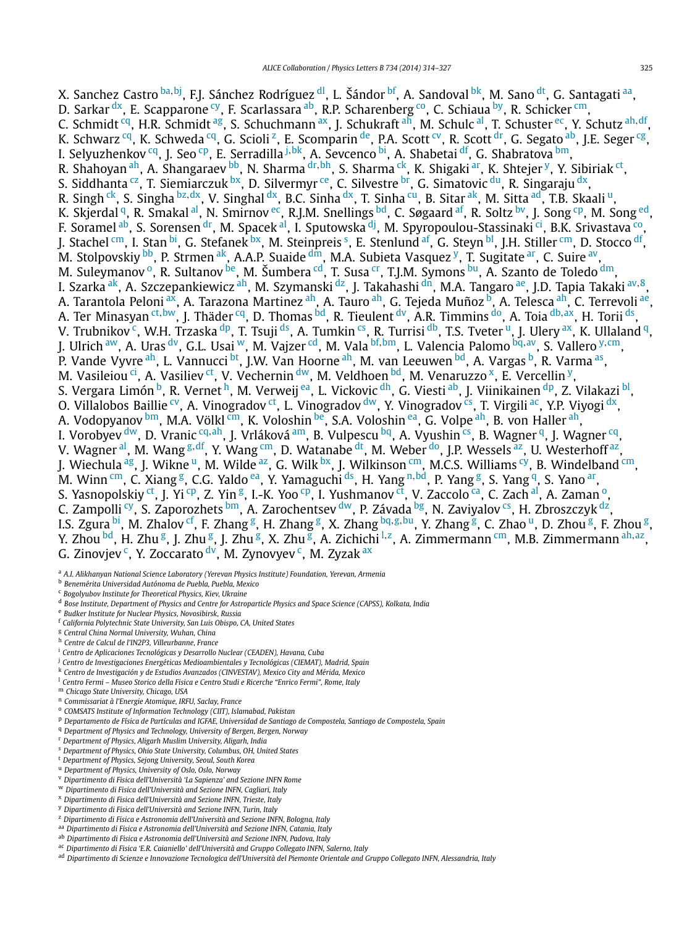<span id="page-11-0"></span>X. Sanchez Castro <sup>[ba](#page-12-0), bj</sup>, F.J. Sánchez Rodríguez <sup>dl</sup>, L. Šándor <sup>bf</sup>, A. Sandoval <sup>bk</sup>, M. Sano <sup>dt</sup>, G. Santagati <sup>aa</sup>, D. Sarkar <sup>[dx](#page-13-0)</sup>, E. Scapparone <sup>cy</sup>, F. Scarlassara <sup>ab</sup>, R.P. Scharenberg <sup>co</sup>, C. Schiaua <sup>[by](#page-12-0)</sup>, R. Schicker <sup>cm</sup>, C. Schmidt <sup>cq</sup>, H.R. Schmidt <sup>ag</sup>, S. Schuchmann <sup>ax</sup>, J. Schukraft <sup>ah</sup>, M. Schulc <sup>al</sup>, T. Schuster <sup>ec</sup>, Y. Schutz <sup>[ah,](#page-12-0) df</sup>, K. Schwarz <sup>cq</sup>, K. Schweda <sup>cq</sup>, G. Scioli <sup>z</sup>, E. Scomparin <sup>de</sup>, P.A. Scott <sup>cv</sup>, R. Scott <sup>dr</sup>, G. Segato <sup>ab</sup>, J.E. Seger <sup>[cg](#page-12-0)</sup>, I. Selyuzhenkov <sup>cq</sup>, J. Seo <sup>cp</sup>, E. Serradilla <sup>j,bk</sup>, A. Sevcenco <sup>bi</sup>, A. Shabetai <sup>df</sup>, G. Shabratova <sup>bm</sup>, R. Shahoyan <sup>ah</sup>, A. Shangaraev <sup>bb</sup>, N. Sharma <sup>[dr](#page-13-0),bh</sup>, S. Sharma <sup>ck</sup>, K. Shigaki <sup>ar</sup>, K. Shtejer <sup>y</sup>, Y. Sibiriak <sup>ct</sup>, S. Siddhanta <sup>cz</sup>, T. Siemiarczuk <sup>bx</sup>, D. Silvermyr <sup>ce</sup>, C. Silvestre <sup>br</sup>, G. Simatovic <sup>du</sup>, R. Singaraju <sup>[dx](#page-13-0)</sup>, R. Singh <sup>ck</sup>, S. Singha <sup>[bz](#page-12-0),dx</sup>, V. Singhal <sup>dx</sup>, B.C. Sinha <sup>dx</sup>, T. Sinha <sup>cu</sup>, B. Sitar <sup>ak</sup>, M. Sitta <sup>ad</sup>, T.B. Skaali <sup>u</sup>, K. Skjerdal <sup>q</sup>, R. Smakal <sup>al</sup>, N. Smirnov <sup>ec</sup>, R.J.M. Snellings <sup>bd</sup>, C. Søgaard <sup>af</sup>, R. Soltz <sup>bv</sup>, J. Song <sup>cp</sup>, M. Song <sup>ed</sup>, F. Soramel ab, S. Sorensen [dr,](#page-13-0) M. Spacek [al,](#page-12-0) I. Sputowska [dj,](#page-13-0) M. Spyropoulou-Stassinaki [ci,](#page-12-0) B.K. Srivastava [co,](#page-12-0) J. Stachel <sup>cm</sup>, I. Stan <sup>bi</sup>, G. Stefanek <sup>bx</sup>, M. Steinpreis <sup>s</sup>, E. Stenlund <sup>af</sup>, G. Steyn <sup>[bl](#page-12-0)</sup>, J.H. Stiller <sup>cm</sup>, D. Stocco <sup>[df](#page-12-0)</sup>, M. Stolpovskiy <sup>bb</sup>, P. Strmen <sup>ak</sup>, A.A.P. Suaide <sup>dm</sup>, M.A. Subieta Vasquez <sup>y</sup>, T. Sugitate <sup>ar</sup>, C. Suire <sup>av</sup>, M. Suleymanov <sup>o</sup>, R. Sultanov <sup>be</sup>, M. Šumbera <sup>cd</sup>, T. Susa <sup>cr</sup>, T.J.M. Symons <sup>bu</sup>, A. Szanto de Toledo <sup>dm</sup>, I. Szarka <sup>[ak](#page-12-0)</sup>, A. Szczepankiewicz <sup>ah</sup>, M. Szymanski <sup>dz</sup>, J. Takahashi <sup>dn</sup>, M.A. Tangaro <sup>ae</sup>, J.D. Tapia Takaki <sup>[av](#page-12-0),8</sup>, A. Tarantola Peloni <sup>ax</sup>, A. Tarazona Martinez <sup>ah</sup>, A. Tauro <sup>ah</sup>, G. Tejeda Muñoz <sup>b</sup>, A. Telesca <sup>ah</sup>, C. Terrevoli <sup>ae</sup>, A. Ter Minasyan [ct](#page-12-0)*,*[bw,](#page-12-0) J. Thäder [cq,](#page-12-0) D. Thomas [bd,](#page-12-0) R. Tieulent [dv,](#page-13-0) A.R. Timmins [do](#page-13-0), A. Toia [db](#page-12-0)*,*[ax,](#page-12-0) H. Torii [ds,](#page-13-0) V. Trubnikov<sup>c</sup>, W.H. Trzaska [dp,](#page-13-0) T. Tsuji [ds,](#page-13-0) A. Tumkin<sup>cs</sup>, R. Turrisi [db](#page-12-0), T.S. Tveter u, J. Ulery [ax,](#page-12-0) K. Ullaland q, J. Ulrich [aw,](#page-12-0) A. Uras [dv](#page-13-0), G.L. Usai w, M. Vajzer [cd,](#page-12-0) M. Vala [bf](#page-12-0)*,*[bm,](#page-12-0) L. Valencia Palomo [bq](#page-12-0)*,*[av,](#page-12-0) S. Vallero <sup>y</sup>*,*[cm,](#page-12-0) P. Vande Vyvre <sup>ah</sup>, L. Vannucci <sup>[bt](#page-12-0)</sup>, J.W. Van Hoorne <sup>ah</sup>, M. van Leeuwen <sup>bd</sup>, A. Vargas <sup>b</sup>, R. Varma <sup>as</sup>, M. Vasileiou <sup>[ci](#page-12-0)</sup>, A. Vasiliev <sup>[ct](#page-12-0)</sup>, V. Vechernin <sup>dw</sup>, M. Veldhoen <sup>bd</sup>, M. Venaruzzo <sup>x</sup>, E. Vercellin <sup>y</sup>, S. Vergara Limón <sup>b</sup>, R. Vernet <sup>h</sup>, M. Verweij <sup>ea</sup>, L. Vickovic <sup>[dh](#page-13-0)</sup>, G. Viesti <sup>ab</sup>, J. Viinikainen <sup>dp</sup>, Z. Vilakazi <sup>bl</sup>, O. Villalobos Baillie <sup>cv</sup>, A. Vinogradov <sup>ct</sup>, L. Vinogradov <sup>dw</sup>, Y. Vinogradov <sup>cs</sup>, T. Virgili <sup>ac</sup>, Y.P. Viyogi <sup>dx</sup>, A. Vodopyanov [bm,](#page-12-0) M.A. Völkl [cm,](#page-12-0) K. Voloshin [be,](#page-12-0) S.A. Voloshin [ea,](#page-13-0) G. Volpe [ah,](#page-12-0) B. von Haller ah, I. Vorobyev <sup>dw</sup>, D. Vranic <sup>[cq](#page-12-0),ah</sup>, J. Vrláková <sup>am</sup>, B. Vulpescu <sup>bq</sup>, A. Vyushin <sup>cs</sup>, B. Wagner <sup>q</sup>, J. Wagner <sup>cq</sup>, V. Wagner <sup>al</sup>, M. Wang <sup>g,df</sup>, Y. Wang <sup>cm</sup>, D. Watanabe <sup>dt</sup>, M. Weber <sup>do</sup>, J.P. Wessels <sup>az</sup>, U. Westerhoff <sup>az</sup>, J. Wiechula <sup>ag</sup>, J. Wikne <sup>u</sup>, M. Wilde <sup>az</sup>, G. Wilk <sup>bx</sup>, J. Wilkinson <sup>[cm](#page-12-0)</sup>, M.C.S. Williams <sup>cy</sup>, B. Windelband <sup>cm</sup>, M. Winn <sup>cm</sup>, C. Xiang <sup>g</sup>, C.G. Yaldo <sup>ea</sup>, Y. Yamaguchi <sup>ds</sup>, H. Yang <sup>n,bd</sup>, P. Yang <sup>g</sup>, S. Yang <sup>q</sup>, S. Yano <sup>ar</sup>, S. Yasnopolskiy <sup>[ct](#page-12-0)</sup>, J. Yi <sup>cp</sup>, Z. Yin <sup>g</sup>, I.-K. Yoo <sup>cp</sup>, I. Yushmanov <sup>ct</sup>, V. Zaccolo <sup>ca</sup>, C. Zach <sup>al</sup>, A. Zaman <sup>o</sup>, C. Zampolli <sup>cy</sup>, S. Zaporozhets <sup>bm</sup>, A. Zarochentsev <sup>dw</sup>, P. Závada <sup>bg</sup>, N. Zaviyalov <sup>cs</sup>, H. Zbroszczyk <sup>dz</sup>, I.S. Zgura [bi,](#page-12-0) M. Zhalov [cf,](#page-12-0) F. Zhang g, H. Zhang g, X. Zhang [bq](#page-12-0),g,[bu,](#page-12-0) Y. Zhang g, C. Zhao u, D. Zhou g, F. Zhou g, Y. Zhou <sup>bd</sup>, H. Zhu <sup>g</sup>, J. Zhu <sup>g</sup>, J. Zhu <sup>g</sup>, X. Zhu g, A. Zichichi <sup>1, z</sup>, A. Zimmermann [cm,](#page-12-0) M.B. Zimmermann <sup>[ah](#page-12-0), az</sup>, G. Zinovjev<sup>c</sup>, Y. Zoccarato [dv](#page-13-0), M. Zynovyev<sup>c</sup>, M. Zyzak [ax](#page-12-0)

- <sup>a</sup> *A.I. Alikhanyan National Science Laboratory (Yerevan Physics Institute) Foundation, Yerevan, Armenia*
- <sup>b</sup> *Benemérita Universidad Autónoma de Puebla, Puebla, Mexico*
- <sup>c</sup> *Bogolyubov Institute for Theoretical Physics, Kiev, Ukraine*
- <sup>d</sup> Bose Institute, Department of Physics and Centre for Astroparticle Physics and Space Science (CAPSS), Kolkata, India
- <sup>e</sup> *Budker Institute for Nuclear Physics, Novosibirsk, Russia*
- <sup>f</sup> *California Polytechnic State University, San Luis Obispo, CA, United States*
- <sup>g</sup> *Central China Normal University, Wuhan, China*
- <sup>h</sup> *Centre de Calcul de l'IN2P3, Villeurbanne, France*
- <sup>i</sup> *Centro de Aplicaciones Tecnológicas y Desarrollo Nuclear (CEADEN), Havana, Cuba*
- <sup>j</sup> *Centro de Investigaciones Energéticas Medioambientales y Tecnológicas (CIEMAT), Madrid, Spain*
- <sup>k</sup> *Centro de Investigación y de Estudios Avanzados (CINVESTAV), Mexico City and Mérida, Mexico*
- <sup>l</sup> *Centro Fermi – Museo Storico della Fisica e Centro Studi e Ricerche "Enrico Fermi", Rome, Italy*
- <sup>m</sup> *Chicago State University, Chicago, USA*
- <sup>n</sup> *Commissariat à l'Energie Atomique, IRFU, Saclay, France* <sup>o</sup> *COMSATS Institute of Information Technology (CIIT), Islamabad, Pakistan*
- P Departamento de Física de Partículas and IGFAE, Universidad de Santiago de Compostela, Santiago de Compostela, Spain
- <sup>q</sup> *Department of Physics and Technology, University of Bergen, Bergen, Norway*
- <sup>r</sup> *Department of Physics, Aligarh Muslim University, Aligarh, India*
- <sup>s</sup> *Department of Physics, Ohio State University, Columbus, OH, United States*
- <sup>t</sup> *Department of Physics, Sejong University, Seoul, South Korea*
- <sup>u</sup> *Department of Physics, University of Oslo, Oslo, Norway*
- <sup>v</sup> *Dipartimento di Fisica dell'Università 'La Sapienza' and Sezione INFN Rome*
- <sup>w</sup> *Dipartimento di Fisica dell'Università and Sezione INFN, Cagliari, Italy*
- <sup>x</sup> *Dipartimento di Fisica dell'Università and Sezione INFN, Trieste, Italy*
- <sup>y</sup> *Dipartimento di Fisica dell'Università and Sezione INFN, Turin, Italy*
- <sup>z</sup> *Dipartimento di Fisica e Astronomia dell'Università and Sezione INFN, Bologna, Italy*
- aa *Dipartimento di Fisica e Astronomia dell'Università and Sezione INFN, Catania, Italy* ab *Dipartimento di Fisica e Astronomia dell'Università and Sezione INFN, Padova, Italy*
- 
- ac *Dipartimento di Fisica 'E.R. Caianiello' dell'Università and Gruppo Collegato INFN, Salerno, Italy*

ad Dipartimento di Scienze e Innovazione Tecnologica dell'Università del Piemonte Orientale and Gruppo Collegato INFN, Alessandria, Italy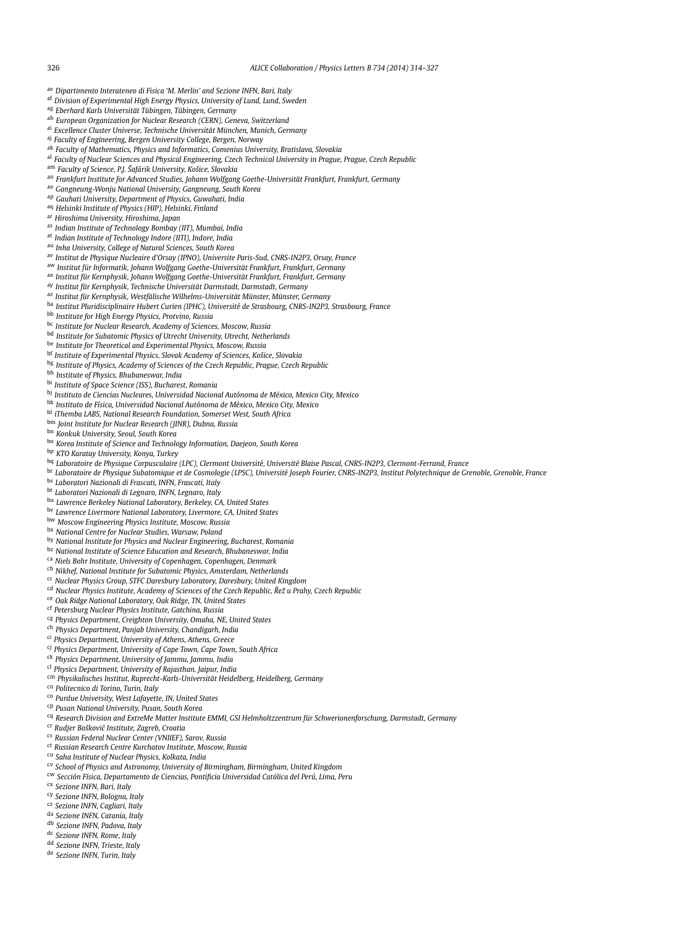- <span id="page-12-0"></span>ae *Dipartimento Interateneo di Fisica 'M. Merlin' and Sezione INFN, Bari, Italy*
- af *Division of Experimental High Energy Physics, University of Lund, Lund, Sweden*
- ag *Eberhard Karls Universität Tübingen, Tübingen, Germany*
- ah *European Organization for Nuclear Research (CERN), Geneva, Switzerland*
- ai *Excellence Cluster Universe, Technische Universität München, Munich, Germany*
- aj *Faculty of Engineering, Bergen University College, Bergen, Norway*
- ak *Faculty of Mathematics, Physics and Informatics, Comenius University, Bratislava, Slovakia*
- al *Faculty of Nuclear Sciences and Physical Engineering, Czech Technical University in Prague, Prague, Czech Republic*
- am *Faculty of Science, P.J. Šafárik University, Košice, Slovakia*
- an *Frankfurt Institute for Advanced Studies, Johann Wolfgang Goethe-Universität Frankfurt, Frankfurt, Germany*
- ao *Gangneung-Wonju National University, Gangneung, South Korea*
- ap *Gauhati University, Department of Physics, Guwahati, India*
- aq *Helsinki Institute of Physics (HIP), Helsinki, Finland*
- ar *Hiroshima University, Hiroshima, Japan*
- as *Indian Institute of Technology Bombay (IIT), Mumbai, India*
- at *Indian Institute of Technology Indore (IITI), Indore, India*
- au *Inha University, College of Natural Sciences, South Korea*
- av *Institut de Physique Nucleaire d'Orsay (IPNO), Universite Paris-Sud, CNRS-IN2P3, Orsay, France*
- aw *Institut für Informatik, Johann Wolfgang Goethe-Universität Frankfurt, Frankfurt, Germany*
- ax *Institut für Kernphysik, Johann Wolfgang Goethe-Universität Frankfurt, Frankfurt, Germany*
- ay *Institut für Kernphysik, Technische Universität Darmstadt, Darmstadt, Germany*
- az *Institut für Kernphysik, Westfälische Wilhelms-Universität Münster, Münster, Germany*
- ba *Institut Pluridisciplinaire Hubert Curien (IPHC), Université de Strasbourg, CNRS-IN2P3, Strasbourg, France*
- bb *Institute for High Energy Physics, Protvino, Russia*
- bc *Institute for Nuclear Research, Academy of Sciences, Moscow, Russia*
- bd *Institute for Subatomic Physics of Utrecht University, Utrecht, Netherlands*
- be *Institute for Theoretical and Experimental Physics, Moscow, Russia*
- bf *Institute of Experimental Physics, Slovak Academy of Sciences, Košice, Slovakia*
- bg *Institute of Physics, Academy of Sciences of the Czech Republic, Prague, Czech Republic*
- bh *Institute of Physics, Bhubaneswar, India*
- bi *Institute of Space Science (ISS), Bucharest, Romania*
- bj *Instituto de Ciencias Nucleares, Universidad Nacional Autónoma de México, Mexico City, Mexico*
- bk *Instituto de Física, Universidad Nacional Autónoma de México, Mexico City, Mexico*
- bl *iThemba LABS, National Research Foundation, Somerset West, South Africa*
- bm *Joint Institute for Nuclear Research (JINR), Dubna, Russia*
- bn *Konkuk University, Seoul, South Korea*
- bo *Korea Institute of Science and Technology Information, Daejeon, South Korea*
- bp *KTO Karatay University, Konya, Turkey*
- bq *Laboratoire de Physique Corpusculaire (LPC), Clermont Université, Université Blaise Pascal, CNRS-IN2P3, Clermont-Ferrand, France*
- br Laboratoire de Physique Subatomique et de Cosmologie (LPSC), Université Joseph Fourier, CNRS-IN2P3, Institut Polytechnique de Grenoble, Grenoble, France
- bs *Laboratori Nazionali di Frascati, INFN, Frascati, Italy*
- bt *Laboratori Nazionali di Legnaro, INFN, Legnaro, Italy*
- bu *Lawrence Berkeley National Laboratory, Berkeley, CA, United States*
- bv *Lawrence Livermore National Laboratory, Livermore, CA, United States*
- bw *Moscow Engineering Physics Institute, Moscow, Russia*
- bx *National Centre for Nuclear Studies, Warsaw, Poland*
- by *National Institute for Physics and Nuclear Engineering, Bucharest, Romania*
- bz *National Institute of Science Education and Research, Bhubaneswar, India*
- ca *Niels Bohr Institute, University of Copenhagen, Copenhagen, Denmark*
- 
- cb *Nikhef, National Institute for Subatomic Physics, Amsterdam, Netherlands*
- cc *Nuclear Physics Group, STFC Daresbury Laboratory, Daresbury, United Kingdom*
- cd *Nuclear Physics Institute, Academy of Sciences of the Czech Republic, Rež ˇ u Prahy, Czech Republic*
- ce *Oak Ridge National Laboratory, Oak Ridge, TN, United States*
- cf *Petersburg Nuclear Physics Institute, Gatchina, Russia*
- cg *Physics Department, Creighton University, Omaha, NE, United States*
- ch *Physics Department, Panjab University, Chandigarh, India*
- ci *Physics Department, University of Athens, Athens, Greece*
- cj *Physics Department, University of Cape Town, Cape Town, South Africa*
- ck *Physics Department, University of Jammu, Jammu, India*
- 
- cm *Physikalisches Institut, Ruprecht-Karls-Universität Heidelberg, Heidelberg, Germany*
- cn *Politecnico di Torino, Turin, Italy*
- co *Purdue University, West Lafayette, IN, United States*
- cp *Pusan National University, Pusan, South Korea*
- cq *Research Division and ExtreMe Matter Institute EMMI, GSI Helmholtzzentrum für Schwerionenforschung, Darmstadt, Germany*
- cr *Rudjer Boškovi´c Institute, Zagreb, Croatia*
- cs *Russian Federal Nuclear Center (VNIIEF), Sarov, Russia*
- ct *Russian Research Centre Kurchatov Institute, Moscow, Russia*
- cu *Saha Institute of Nuclear Physics, Kolkata, India*
- cv *School of Physics and Astronomy, University of Birmingham, Birmingham, United Kingdom*
- cw *Sección Física, Departamento de Ciencias, Pontificia Universidad Católica del Perú, Lima, Peru*
- cx *Sezione INFN, Bari, Italy*
- cy *Sezione INFN, Bologna, Italy*
- cz *Sezione INFN, Cagliari, Italy*
- da *Sezione INFN, Catania, Italy*
- db *Sezione INFN, Padova, Italy*
- dc *Sezione INFN, Rome, Italy*
- dd *Sezione INFN, Trieste, Italy*
- de *Sezione INFN, Turin, Italy*

cl *Physics Department, University of Rajasthan, Jaipur, India*